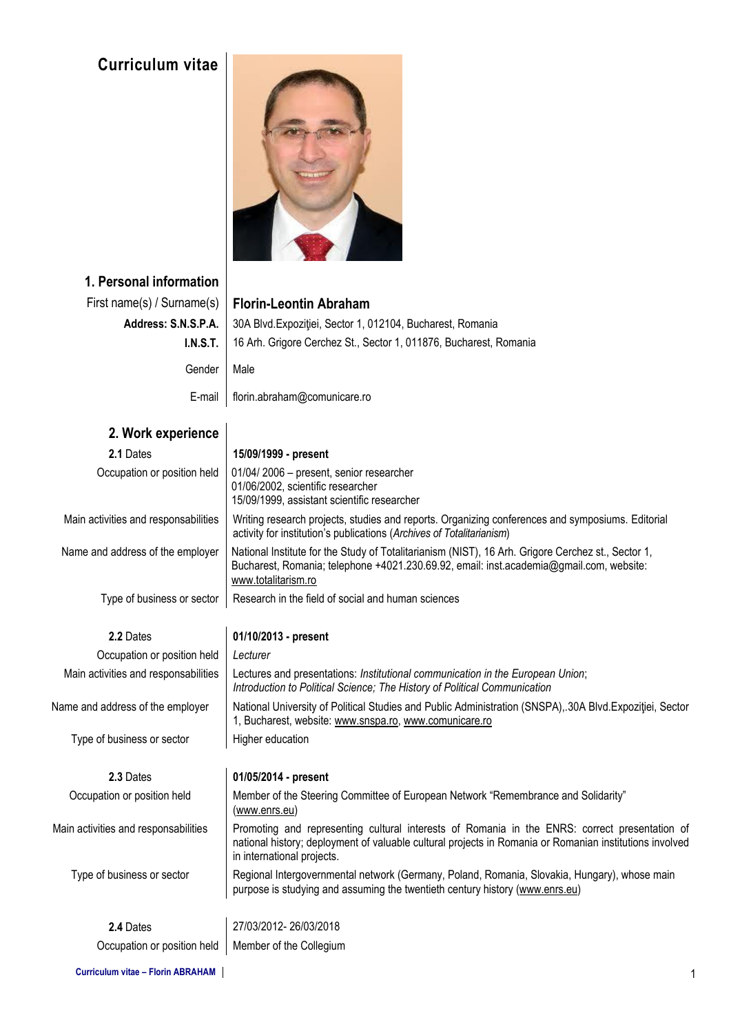# **Curriculum vitae**



## **1. Personal information**

|                     | First name(s) / Surname(s)   Florin-Leontin Abraham               |
|---------------------|-------------------------------------------------------------------|
| Address: S.N.S.P.A. | 30A Blvd. Expoziției, Sector 1, 012104, Bucharest, Romania        |
| <u>I.N.S.T. I</u>   | 16 Arh. Grigore Cerchez St., Sector 1, 011876, Bucharest, Romania |
| Gender              | Male                                                              |
| E-mail              | florin.abraham@comunicare.ro                                      |

| 2. Work experience                   |                                                                                                                                                                                                                                        |  |  |  |  |  |
|--------------------------------------|----------------------------------------------------------------------------------------------------------------------------------------------------------------------------------------------------------------------------------------|--|--|--|--|--|
| 2.1 Dates                            | 15/09/1999 - present                                                                                                                                                                                                                   |  |  |  |  |  |
| Occupation or position held          | 01/04/2006 - present, senior researcher<br>01/06/2002, scientific researcher<br>15/09/1999, assistant scientific researcher                                                                                                            |  |  |  |  |  |
| Main activities and responsabilities | Writing research projects, studies and reports. Organizing conferences and symposiums. Editorial<br>activity for institution's publications (Archives of Totalitarianism)                                                              |  |  |  |  |  |
| Name and address of the employer     | National Institute for the Study of Totalitarianism (NIST), 16 Arh. Grigore Cerchez st., Sector 1,<br>Bucharest, Romania; telephone +4021.230.69.92, email: inst.academia@gmail.com, website:<br>www.totalitarism.ro                   |  |  |  |  |  |
| Type of business or sector           | Research in the field of social and human sciences                                                                                                                                                                                     |  |  |  |  |  |
| 2.2 Dates                            | 01/10/2013 - present                                                                                                                                                                                                                   |  |  |  |  |  |
| Occupation or position held          | Lecturer                                                                                                                                                                                                                               |  |  |  |  |  |
| Main activities and responsabilities | Lectures and presentations: Institutional communication in the European Union;<br>Introduction to Political Science; The History of Political Communication                                                                            |  |  |  |  |  |
| Name and address of the employer     | National University of Political Studies and Public Administration (SNSPA), 30A Blvd. Expozitiei, Sector<br>1, Bucharest, website: www.snspa.ro, www.comunicare.ro                                                                     |  |  |  |  |  |
| Type of business or sector           | Higher education                                                                                                                                                                                                                       |  |  |  |  |  |
| 2.3 Dates                            | 01/05/2014 - present                                                                                                                                                                                                                   |  |  |  |  |  |
| Occupation or position held          | Member of the Steering Committee of European Network "Remembrance and Solidarity"<br>(www.enrs.eu)                                                                                                                                     |  |  |  |  |  |
| Main activities and responsabilities | Promoting and representing cultural interests of Romania in the ENRS: correct presentation of<br>national history; deployment of valuable cultural projects in Romania or Romanian institutions involved<br>in international projects. |  |  |  |  |  |
| Type of business or sector           | Regional Intergovernmental network (Germany, Poland, Romania, Slovakia, Hungary), whose main<br>purpose is studying and assuming the twentieth century history (www.enrs.eu)                                                           |  |  |  |  |  |
| 2.4 Dates                            | 27/03/2012-26/03/2018                                                                                                                                                                                                                  |  |  |  |  |  |
| Occupation or position held          | Member of the Collegium                                                                                                                                                                                                                |  |  |  |  |  |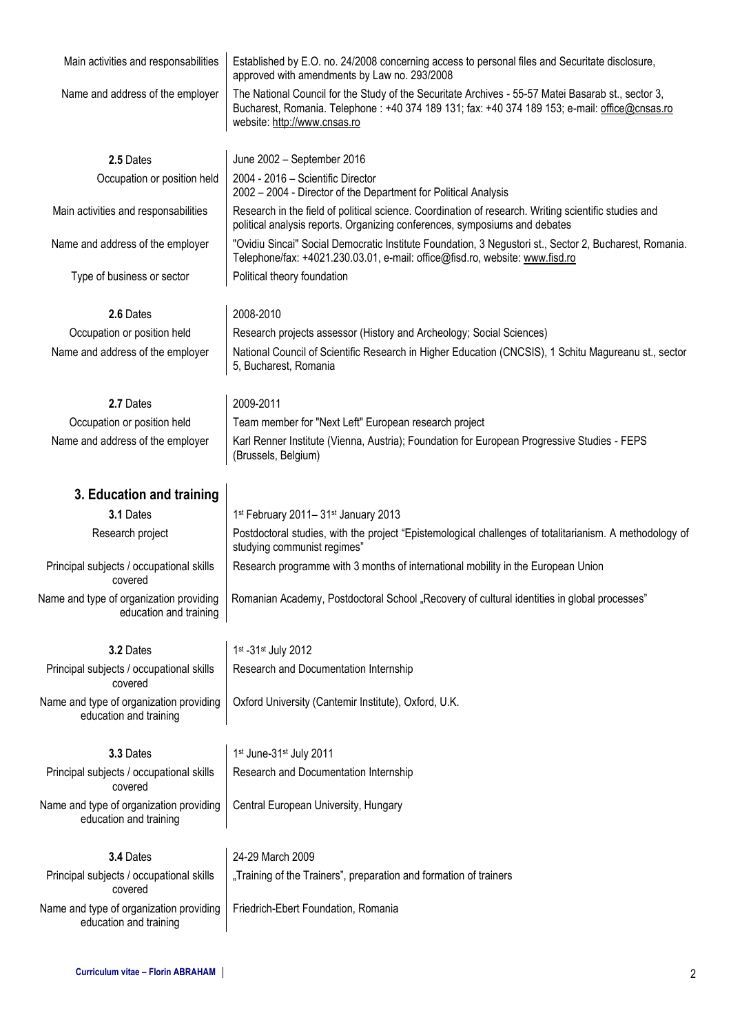| Main activities and responsabilities                              | Established by E.O. no. 24/2008 concerning access to personal files and Securitate disclosure,<br>approved with amendments by Law no. 293/2008                                                                                      |  |  |  |  |
|-------------------------------------------------------------------|-------------------------------------------------------------------------------------------------------------------------------------------------------------------------------------------------------------------------------------|--|--|--|--|
| Name and address of the employer                                  | The National Council for the Study of the Securitate Archives - 55-57 Matei Basarab st., sector 3,<br>Bucharest, Romania. Telephone: +40 374 189 131; fax: +40 374 189 153; e-mail: office@cnsas.ro<br>website: http://www.cnsas.ro |  |  |  |  |
| 2.5 Dates                                                         | June 2002 - September 2016                                                                                                                                                                                                          |  |  |  |  |
| Occupation or position held                                       | 2004 - 2016 - Scientific Director<br>2002 - 2004 - Director of the Department for Political Analysis                                                                                                                                |  |  |  |  |
| Main activities and responsabilities                              | Research in the field of political science. Coordination of research. Writing scientific studies and<br>political analysis reports. Organizing conferences, symposiums and debates                                                  |  |  |  |  |
| Name and address of the employer                                  | "Ovidiu Sincai" Social Democratic Institute Foundation, 3 Negustori st., Sector 2, Bucharest, Romania.<br>Telephone/fax: +4021.230.03.01, e-mail: office@fisd.ro, website: www.fisd.ro                                              |  |  |  |  |
| Type of business or sector                                        | Political theory foundation                                                                                                                                                                                                         |  |  |  |  |
| 2.6 Dates                                                         | 2008-2010                                                                                                                                                                                                                           |  |  |  |  |
| Occupation or position held                                       | Research projects assessor (History and Archeology; Social Sciences)                                                                                                                                                                |  |  |  |  |
| Name and address of the employer                                  | National Council of Scientific Research in Higher Education (CNCSIS), 1 Schitu Magureanu st., sector<br>5, Bucharest, Romania                                                                                                       |  |  |  |  |
| 2.7 Dates                                                         | 2009-2011                                                                                                                                                                                                                           |  |  |  |  |
| Occupation or position held                                       | Team member for "Next Left" European research project                                                                                                                                                                               |  |  |  |  |
| Name and address of the employer                                  | Karl Renner Institute (Vienna, Austria); Foundation for European Progressive Studies - FEPS<br>(Brussels, Belgium)                                                                                                                  |  |  |  |  |
| 3. Education and training                                         |                                                                                                                                                                                                                                     |  |  |  |  |
| 3.1 Dates                                                         | 1st February 2011-31st January 2013                                                                                                                                                                                                 |  |  |  |  |
| Research project                                                  | Postdoctoral studies, with the project "Epistemological challenges of totalitarianism. A methodology of<br>studying communist regimes"                                                                                              |  |  |  |  |
| Principal subjects / occupational skills<br>covered               | Research programme with 3 months of international mobility in the European Union                                                                                                                                                    |  |  |  |  |
| Name and type of organization providing<br>education and training | Romanian Academy, Postdoctoral School "Recovery of cultural identities in global processes"                                                                                                                                         |  |  |  |  |
| 3.2 Dates                                                         | 1st - 31st July 2012                                                                                                                                                                                                                |  |  |  |  |
| Principal subjects / occupational skills<br>covered               | Research and Documentation Internship                                                                                                                                                                                               |  |  |  |  |
| Name and type of organization providing<br>education and training | Oxford University (Cantemir Institute), Oxford, U.K.                                                                                                                                                                                |  |  |  |  |
| 3.3 Dates                                                         | 1st June-31st July 2011                                                                                                                                                                                                             |  |  |  |  |
| Principal subjects / occupational skills<br>covered               | Research and Documentation Internship                                                                                                                                                                                               |  |  |  |  |
| Name and type of organization providing<br>education and training | Central European University, Hungary                                                                                                                                                                                                |  |  |  |  |
| 3.4 Dates                                                         | 24-29 March 2009                                                                                                                                                                                                                    |  |  |  |  |
| Principal subjects / occupational skills<br>covered               | "Training of the Trainers", preparation and formation of trainers                                                                                                                                                                   |  |  |  |  |
| Name and type of organization providing<br>education and training | Friedrich-Ebert Foundation, Romania                                                                                                                                                                                                 |  |  |  |  |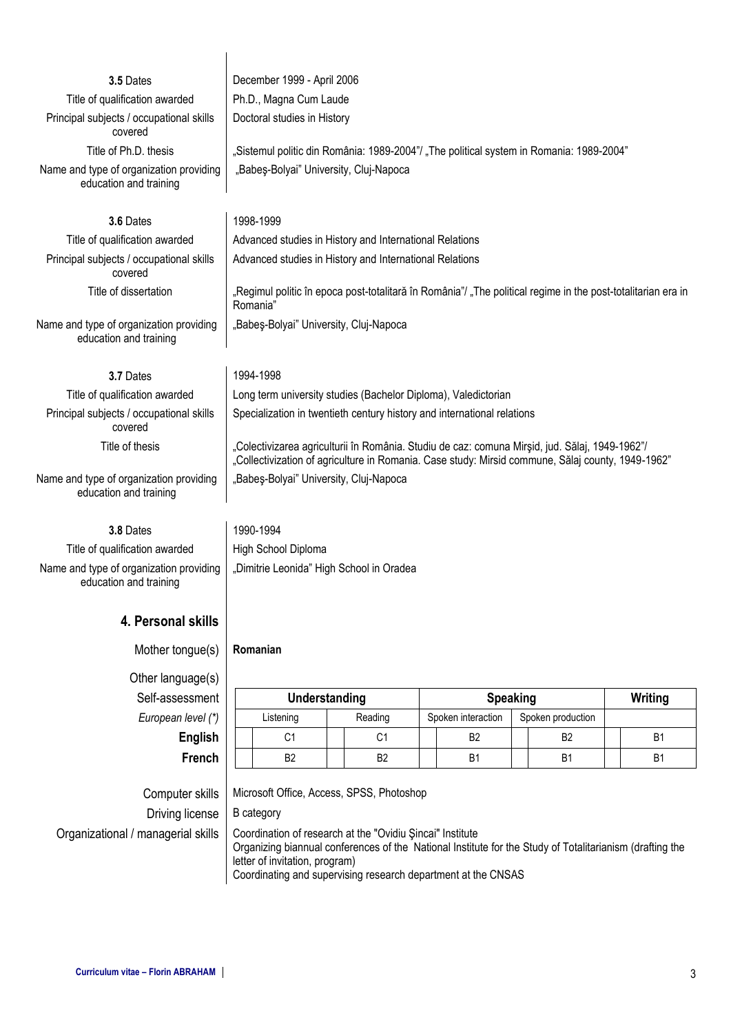| 3.5 Dates                                                         | December 1999 - April 2006                                                                                                                                                                          |  |                                          |                 |                    |                                                                                         |                |
|-------------------------------------------------------------------|-----------------------------------------------------------------------------------------------------------------------------------------------------------------------------------------------------|--|------------------------------------------|-----------------|--------------------|-----------------------------------------------------------------------------------------|----------------|
| Title of qualification awarded                                    | Ph.D., Magna Cum Laude                                                                                                                                                                              |  |                                          |                 |                    |                                                                                         |                |
| Principal subjects / occupational skills<br>covered               | Doctoral studies in History                                                                                                                                                                         |  |                                          |                 |                    |                                                                                         |                |
| Title of Ph.D. thesis                                             |                                                                                                                                                                                                     |  |                                          |                 |                    | "Sistemul politic din România: 1989-2004"/ "The political system in Romania: 1989-2004" |                |
| Name and type of organization providing<br>education and training | "Babeş-Bolyai" University, Cluj-Napoca                                                                                                                                                              |  |                                          |                 |                    |                                                                                         |                |
| 3.6 Dates                                                         | 1998-1999                                                                                                                                                                                           |  |                                          |                 |                    |                                                                                         |                |
| Title of qualification awarded                                    | Advanced studies in History and International Relations                                                                                                                                             |  |                                          |                 |                    |                                                                                         |                |
| Principal subjects / occupational skills<br>covered               | Advanced studies in History and International Relations                                                                                                                                             |  |                                          |                 |                    |                                                                                         |                |
| Title of dissertation                                             | "Regimul politic în epoca post-totalitară în România"/ "The political regime in the post-totalitarian era in<br>Romania"                                                                            |  |                                          |                 |                    |                                                                                         |                |
| Name and type of organization providing<br>education and training | "Babes-Bolyai" University, Cluj-Napoca                                                                                                                                                              |  |                                          |                 |                    |                                                                                         |                |
| 3.7 Dates                                                         | 1994-1998                                                                                                                                                                                           |  |                                          |                 |                    |                                                                                         |                |
| Title of qualification awarded                                    | Long term university studies (Bachelor Diploma), Valedictorian                                                                                                                                      |  |                                          |                 |                    |                                                                                         |                |
| Principal subjects / occupational skills<br>covered               | Specialization in twentieth century history and international relations                                                                                                                             |  |                                          |                 |                    |                                                                                         |                |
| Title of thesis                                                   | "Colectivizarea agriculturii în România. Studiu de caz: comuna Mirșid, jud. Sălaj, 1949-1962"/<br>"Collectivization of agriculture in Romania. Case study: Mirsid commune, Sălaj county, 1949-1962" |  |                                          |                 |                    |                                                                                         |                |
| Name and type of organization providing<br>education and training | "Babeş-Bolyai" University, Cluj-Napoca                                                                                                                                                              |  |                                          |                 |                    |                                                                                         |                |
| 3.8 Dates                                                         | 1990-1994                                                                                                                                                                                           |  |                                          |                 |                    |                                                                                         |                |
| Title of qualification awarded                                    | High School Diploma                                                                                                                                                                                 |  |                                          |                 |                    |                                                                                         |                |
| Name and type of organization providing<br>education and training |                                                                                                                                                                                                     |  | "Dimitrie Leonida" High School in Oradea |                 |                    |                                                                                         |                |
| 4. Personal skills                                                |                                                                                                                                                                                                     |  |                                          |                 |                    |                                                                                         |                |
| Mother tongue(s)                                                  | Romanian                                                                                                                                                                                            |  |                                          |                 |                    |                                                                                         |                |
| Other language(s)                                                 |                                                                                                                                                                                                     |  |                                          |                 |                    |                                                                                         |                |
| Self-assessment                                                   | Understanding                                                                                                                                                                                       |  |                                          | <b>Speaking</b> | Writing            |                                                                                         |                |
| European level (*)                                                | Listening                                                                                                                                                                                           |  | Reading                                  |                 | Spoken interaction | Spoken production                                                                       |                |
| <b>English</b>                                                    | C1                                                                                                                                                                                                  |  | C1                                       |                 | B <sub>2</sub>     | B <sub>2</sub>                                                                          | B <sub>1</sub> |
| French                                                            | B <sub>2</sub>                                                                                                                                                                                      |  | B <sub>2</sub>                           |                 | <b>B1</b>          | <b>B1</b>                                                                               | B <sub>1</sub> |
|                                                                   |                                                                                                                                                                                                     |  |                                          |                 |                    |                                                                                         |                |

Computer skills | Microsoft Office, Access, SPSS, Photoshop Driving license  $\vert$  B category Organizational / managerial skills | Coordination of research at the "Ovidiu Şincai" Institute

 $\mathbf{r}$ 

Organizing biannual conferences of the National Institute for the Study of Totalitarianism (drafting the letter of invitation, program) Coordinating and supervising research department at the CNSAS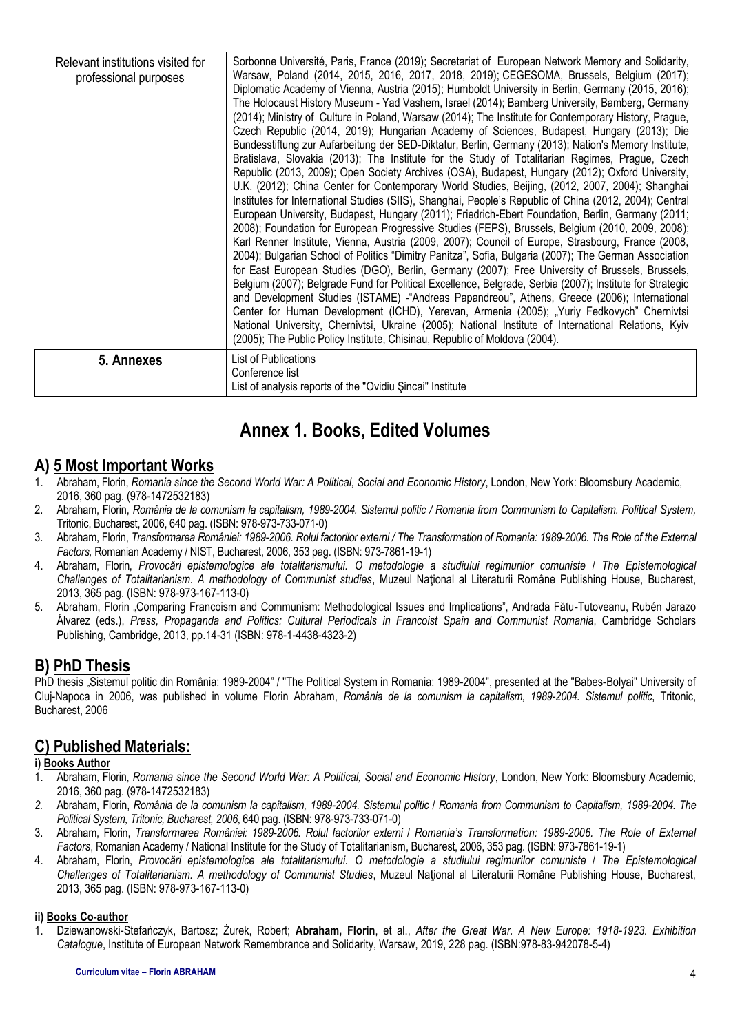| Relevant institutions visited for<br>professional purposes | Sorbonne Université, Paris, France (2019); Secretariat of European Network Memory and Solidarity,<br>Warsaw, Poland (2014, 2015, 2016, 2017, 2018, 2019); CEGESOMA, Brussels, Belgium (2017);<br>Diplomatic Academy of Vienna, Austria (2015); Humboldt University in Berlin, Germany (2015, 2016);<br>The Holocaust History Museum - Yad Vashem, Israel (2014); Bamberg University, Bamberg, Germany<br>(2014); Ministry of Culture in Poland, Warsaw (2014); The Institute for Contemporary History, Prague,<br>Czech Republic (2014, 2019); Hungarian Academy of Sciences, Budapest, Hungary (2013); Die<br>Bundesstiftung zur Aufarbeitung der SED-Diktatur, Berlin, Germany (2013); Nation's Memory Institute,<br>Bratislava, Slovakia (2013); The Institute for the Study of Totalitarian Regimes, Prague, Czech<br>Republic (2013, 2009); Open Society Archives (OSA), Budapest, Hungary (2012); Oxford University,<br>U.K. (2012); China Center for Contemporary World Studies, Beijing, (2012, 2007, 2004); Shanghai<br>Institutes for International Studies (SIIS), Shanghai, People's Republic of China (2012, 2004); Central<br>European University, Budapest, Hungary (2011); Friedrich-Ebert Foundation, Berlin, Germany (2011;<br>2008); Foundation for European Progressive Studies (FEPS), Brussels, Belgium (2010, 2009, 2008);<br>Karl Renner Institute, Vienna, Austria (2009, 2007); Council of Europe, Strasbourg, France (2008,<br>2004); Bulgarian School of Politics "Dimitry Panitza", Sofia, Bulgaria (2007); The German Association<br>for East European Studies (DGO), Berlin, Germany (2007); Free University of Brussels, Brussels,<br>Belgium (2007); Belgrade Fund for Political Excellence, Belgrade, Serbia (2007); Institute for Strategic<br>and Development Studies (ISTAME) - Andreas Papandreou", Athens, Greece (2006); International<br>Center for Human Development (ICHD), Yerevan, Armenia (2005); "Yuriy Fedkovych" Chernivtsi<br>National University, Chernivtsi, Ukraine (2005); National Institute of International Relations, Kyiv<br>(2005); The Public Policy Institute, Chisinau, Republic of Moldova (2004). |
|------------------------------------------------------------|--------------------------------------------------------------------------------------------------------------------------------------------------------------------------------------------------------------------------------------------------------------------------------------------------------------------------------------------------------------------------------------------------------------------------------------------------------------------------------------------------------------------------------------------------------------------------------------------------------------------------------------------------------------------------------------------------------------------------------------------------------------------------------------------------------------------------------------------------------------------------------------------------------------------------------------------------------------------------------------------------------------------------------------------------------------------------------------------------------------------------------------------------------------------------------------------------------------------------------------------------------------------------------------------------------------------------------------------------------------------------------------------------------------------------------------------------------------------------------------------------------------------------------------------------------------------------------------------------------------------------------------------------------------------------------------------------------------------------------------------------------------------------------------------------------------------------------------------------------------------------------------------------------------------------------------------------------------------------------------------------------------------------------------------------------------------------------------------------------------------------------------------------------------------|
| 5. Annexes                                                 | List of Publications<br>Conference list<br>List of analysis reports of the "Ovidiu Sincai" Institute                                                                                                                                                                                                                                                                                                                                                                                                                                                                                                                                                                                                                                                                                                                                                                                                                                                                                                                                                                                                                                                                                                                                                                                                                                                                                                                                                                                                                                                                                                                                                                                                                                                                                                                                                                                                                                                                                                                                                                                                                                                               |

# **Annex 1. Books, Edited Volumes**

## **A) 5 Most Important Works**

- 1. Abraham, Florin, *Romania since the Second World War: A Political, Social and Economic History*, London, New York: Bloomsbury Academic, 2016, 360 pag. (978-1472532183)
- 2. Abraham, Florin, *România de la comunism la capitalism, 1989-2004. Sistemul politic / Romania from Communism to Capitalism. Political System,*  Tritonic, Bucharest, 2006, 640 pag. (ISBN: 978-973-733-071-0)
- 3. Abraham, Florin, *Transformarea României: 1989-2006. Rolul factorilor externi / The Transformation of Romania: 1989-2006. The Role of the External Factors,* Romanian Academy / NIST, Bucharest, 2006, 353 pag. (ISBN: 973-7861-19-1)
- 4. Abraham, Florin, *Provocări epistemologice ale totalitarismului. O metodologie a studiului regimurilor comuniste* / *The Epistemological Challenges of Totalitarianism. A methodology of Communist studies*, Muzeul Naţional al Literaturii Române Publishing House, Bucharest, 2013, 365 pag. (ISBN: 978-973-167-113-0)
- 5. Abraham, Florin "Comparing Francoism and Communism: Methodological Issues and Implications", Andrada Fătu-Tutoveanu, Rubén Jarazo Álvarez (eds.), *Press, Propaganda and Politics: Cultural Periodicals in Francoist Spain and Communist Romania*, Cambridge Scholars Publishing, Cambridge, 2013, pp.14-31 (ISBN: 978-1-4438-4323-2)

## **B) PhD Thesis**

PhD thesis . Sistemul politic din România: 1989-2004" / "The Political System in Romania: 1989-2004", presented at the "Babes-Bolyai" University of Cluj-Napoca in 2006, was published in volume Florin Abraham, *România de la comunism la capitalism, 1989-2004. Sistemul politic*, Tritonic, Bucharest, 2006

## **C) Published Materials:**

#### **i) Books Author**

- 1. Abraham, Florin, *Romania since the Second World War: A Political, Social and Economic History*, London, New York: Bloomsbury Academic, 2016, 360 pag. (978-1472532183)
- *2.* Abraham, Florin, *România de la comunism la capitalism, 1989-2004. Sistemul politic* / *Romania from Communism to Capitalism, 1989-2004. The Political System, Tritonic, Bucharest, 2006*, 640 pag. (ISBN: 978-973-733-071-0)
- 3. Abraham, Florin, *Transformarea României: 1989-2006. Rolul factorilor externi* / *Romania's Transformation: 1989-2006. The Role of External Factors*, Romanian Academy / National Institute for the Study of Totalitarianism, Bucharest, 2006, 353 pag. (ISBN: 973-7861-19-1)
- 4. Abraham, Florin, *Provocări epistemologice ale totalitarismului. O metodologie a studiului regimurilor comuniste* / *The Epistemological Challenges of Totalitarianism. A methodology of Communist Studies*, Muzeul Naţional al Literaturii Române Publishing House, Bucharest, 2013, 365 pag. (ISBN: 978-973-167-113-0)

#### **ii) Books Co-author**

1. Dziewanowski-Stefańczyk, Bartosz; Żurek, Robert; **Abraham, Florin**, et al., *After the Great War. A New Europe: 1918-1923. Exhibition Catalogue*, Institute of European Network Remembrance and Solidarity, Warsaw, 2019, 228 pag. (ISBN:978-83-942078-5-4)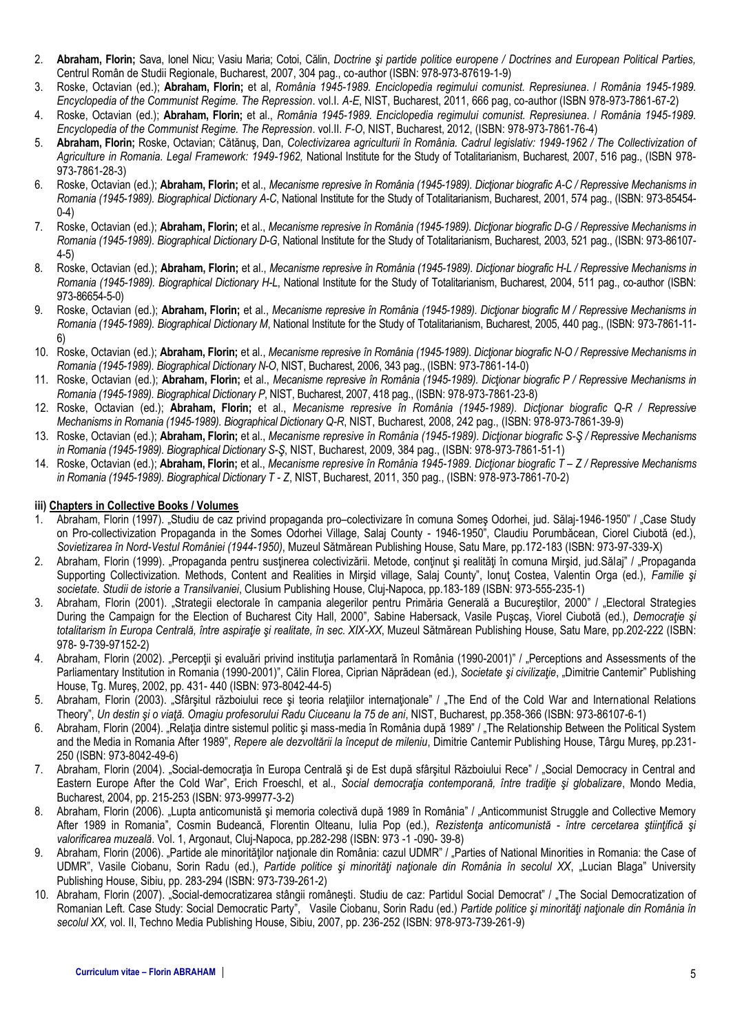- 2. **Abraham, Florin;** Sava, Ionel Nicu; Vasiu Maria; Cotoi, Călin, *Doctrine şi partide politice europene / Doctrines and European Political Parties,*  Centrul Român de Studii Regionale, Bucharest, 2007, 304 pag., co-author (ISBN: 978-973-87619-1-9)
- 3. Roske, Octavian (ed.); **Abraham, Florin;** et al, *România 1945-1989. Enciclopedia regimului comunist. Represiunea*. / *România 1945-1989. Encyclopedia of the Communist Regime. The Repression*. vol.I. *A-E*, NIST, Bucharest, 2011, 666 pag, co-author (ISBN 978-973-7861-67-2)
- 4. Roske, Octavian (ed.); **Abraham, Florin;** et al., *România 1945-1989. Enciclopedia regimului comunist. Represiunea*. / *România 1945-1989. Encyclopedia of the Communist Regime. The Repression*. vol.II. *F-O*, NIST, Bucharest, 2012, (ISBN: 978-973-7861-76-4)
- 5. **Abraham, Florin;** Roske, Octavian; Cătănuş, Dan, *Colectivizarea agriculturii în România. Cadrul legislativ: 1949-1962 / The Collectivization of Agriculture in Romania. Legal Framework: 1949-1962,* National Institute for the Study of Totalitarianism, Bucharest, 2007, 516 pag., (ISBN 978- 973-7861-28-3)
- 6. Roske, Octavian (ed.); **Abraham, Florin;** et al., *Mecanisme represive în România (1945-1989). Dicţionar biografic A-C / Repressive Mechanisms in Romania (1945-1989). Biographical Dictionary A-C*, National Institute for the Study of Totalitarianism, Bucharest, 2001, 574 pag., (ISBN: 973-85454- 0-4)
- 7. Roske, Octavian (ed.); **Abraham, Florin;** et al., *Mecanisme represive în România (1945-1989). Dicţionar biografic D-G / Repressive Mechanisms in Romania (1945-1989). Biographical Dictionary D-G*, National Institute for the Study of Totalitarianism, Bucharest, 2003, 521 pag., (ISBN: 973-86107- 4-5)
- 8. Roske, Octavian (ed.); **Abraham, Florin;** et al., *Mecanisme represive în România (1945-1989). Dicţionar biografic H-L / Repressive Mechanisms in Romania (1945-1989). Biographical Dictionary H-L*, National Institute for the Study of Totalitarianism, Bucharest, 2004, 511 pag., co-author (ISBN: 973-86654-5-0)
- 9. Roske, Octavian (ed.); **Abraham, Florin;** et al., *Mecanisme represive în România (1945-1989). Dicţionar biografic M / Repressive Mechanisms in Romania (1945-1989). Biographical Dictionary M*, National Institute for the Study of Totalitarianism, Bucharest, 2005, 440 pag., (ISBN: 973-7861-11- 6)
- 10. Roske, Octavian (ed.); **Abraham, Florin;** et al., *Mecanisme represive în România (1945-1989). Dicţionar biografic N-O / Repressive Mechanisms in Romania (1945-1989). Biographical Dictionary N-O*, NIST, Bucharest, 2006, 343 pag., (ISBN: 973-7861-14-0)
- 11. Roske, Octavian (ed.); **Abraham, Florin;** et al., *Mecanisme represive în România (1945-1989). Dicţionar biografic P / Repressive Mechanisms in Romania (1945-1989). Biographical Dictionary P*, NIST, Bucharest, 2007, 418 pag., (ISBN: 978-973-7861-23-8)
- 12. Roske, Octavian (ed.); **Abraham, Florin;** et al., *Mecanisme represive în România (1945-1989). Dicţionar biografic Q-R / Repressive Mechanisms in Romania (1945-1989). Biographical Dictionary Q-R*, NIST, Bucharest, 2008, 242 pag., (ISBN: 978-973-7861-39-9)
- 13. Roske, Octavian (ed.); **Abraham, Florin;** et al., *Mecanisme represive în România (1945-1989). Dicţionar biografic S-Ş / Repressive Mechanisms in Romania (1945-1989). Biographical Dictionary S-Ş*, NIST, Bucharest, 2009, 384 pag., (ISBN: 978-973-7861-51-1)
- 14. Roske, Octavian (ed.); **Abraham, Florin;** et al., *Mecanisme represive în România 1945-1989. Dicţionar biografic T – Z / Repressive Mechanisms in Romania (1945-1989). Biographical Dictionary T - Z*, NIST, Bucharest, 2011, 350 pag., (ISBN: 978-973-7861-70-2)

#### **iii) Chapters in Collective Books / Volumes**

- 1. Abraham, Florin (1997). "Studiu de caz privind propaganda pro–colectivizare în comuna Someş Odorhei, jud. Sălaj-1946-1950" / "Case Study on Pro-collectivization Propaganda in the Somes Odorhei Village, Salaj County - 1946-1950", Claudiu Porumbăcean, Ciorel Ciubotă (ed.), *Sovietizarea în Nord-Vestul României (1944-1950)*, Muzeul Sătmărean Publishing House, Satu Mare, pp.172-183 (ISBN: 973-97-339-X)
- 2. Abraham, Florin (1999). "Propaganda pentru sustinerea colectivizării. Metode, continut și realități în comuna Mirșid, jud.Sălaji" / "Propaganda Supporting Collectivization. Methods, Content and Realities in Mirşid village, Salaj County", Ionut Costea, Valentin Orga (ed.), Familie și *societate. Studii de istorie a Transilvaniei*, Clusium Publishing House, Cluj-Napoca, pp.183-189 (ISBN: 973-555-235-1)
- 3. Abraham, Florin (2001). "Strategii electorale în campania alegerilor pentru Primăria Generală a Bucureştilor, 2000" / "Electoral Strategies During the Campaign for the Election of Bucharest City Hall, 2000"*,* Sabine Habersack, Vasile Puşcaş, Viorel Ciubotă (ed.), *Democraţie şi totalitarism în Europa Centrală, între aspiraţie şi realitate, în sec. XIX-XX*, Muzeul Sătmărean Publishing House, Satu Mare, pp.202-222 (ISBN: 978- 9-739-97152-2)
- 4. Abraham, Florin (2002). "Percepții și evaluări privind instituția parlamentară în România (1990-2001)" / "Perceptions and Assessments of the Parliamentary Institution in Romania (1990-2001)", Călin Florea, Ciprian Năprădean (ed.), Societate și civilizație, "Dimitrie Cantemir" Publishing House, Tg. Mureş, 2002, pp. 431- 440 (ISBN: 973-8042-44-5)
- 5. Abraham, Florin (2003). "Sfârșitul războiului rece și teoria relațiilor internaționale" / "The End of the Cold War and International Relations Theory", *Un destin şi o viaţă. Omagiu profesorului Radu Ciuceanu la 75 de ani*, NIST, Bucharest, pp.358-366 (ISBN: 973-86107-6-1)
- 6. Abraham, Florin (2004). "Relația dintre sistemul politic și mass-media în România după 1989" / "The Relationship Between the Political System and the Media in Romania After 1989", *Repere ale dezvoltării la început de mileniu*, Dimitrie Cantemir Publishing House, Târgu Mureş, pp.231- 250 (ISBN: 973-8042-49-6)
- 7. Abraham, Florin (2004). "Social-democrația în Europa Centrală și de Est după sfârșitul Războiului Rece" / "Social Democracy in Central and Eastern Europe After the Cold War", Erich Froeschl, et al., *Social democraţia contemporană, între tradiţie şi globalizare*, Mondo Media, Bucharest, 2004, pp. 215-253 (ISBN: 973-99977-3-2)
- 8. Abraham, Florin (2006). "Lupta anticomunistă și memoria colectivă după 1989 în România" / "Anticommunist Struggle and Collective Memory After 1989 in Romania", Cosmin Budeancă, Florentin Olteanu, Iulia Pop (ed.), *Rezistenţa anticomunistă - între cercetarea ştiinţifică şi valorificarea muzeală*. Vol. 1, Argonaut, Cluj-Napoca, pp.282-298 (ISBN: 973 -1 -090- 39-8)
- 9. Abraham, Florin (2006). "Partide ale minorităților naționale din România: cazul UDMR" / "Parties of National Minorities in Romania: the Case of UDMR", Vasile Ciobanu, Sorin Radu (ed.), Partide politice și minorități naționale din România în secolul XX, "Lucian Blaga" University Publishing House, Sibiu, pp. 283-294 (ISBN: 973-739-261-2)
- 10. Abraham, Florin (2007). "Social-democratizarea stângii româneşti. Studiu de caz: Partidul Social Democrat" / "The Social Democratization of Romanian Left. Case Study: Social Democratic Party", Vasile Ciobanu, Sorin Radu (ed.) *Partide politice şi minorităţi naţionale din România în secolul XX,* vol. II, Techno Media Publishing House, Sibiu, 2007, pp. 236-252 (ISBN: 978-973-739-261-9)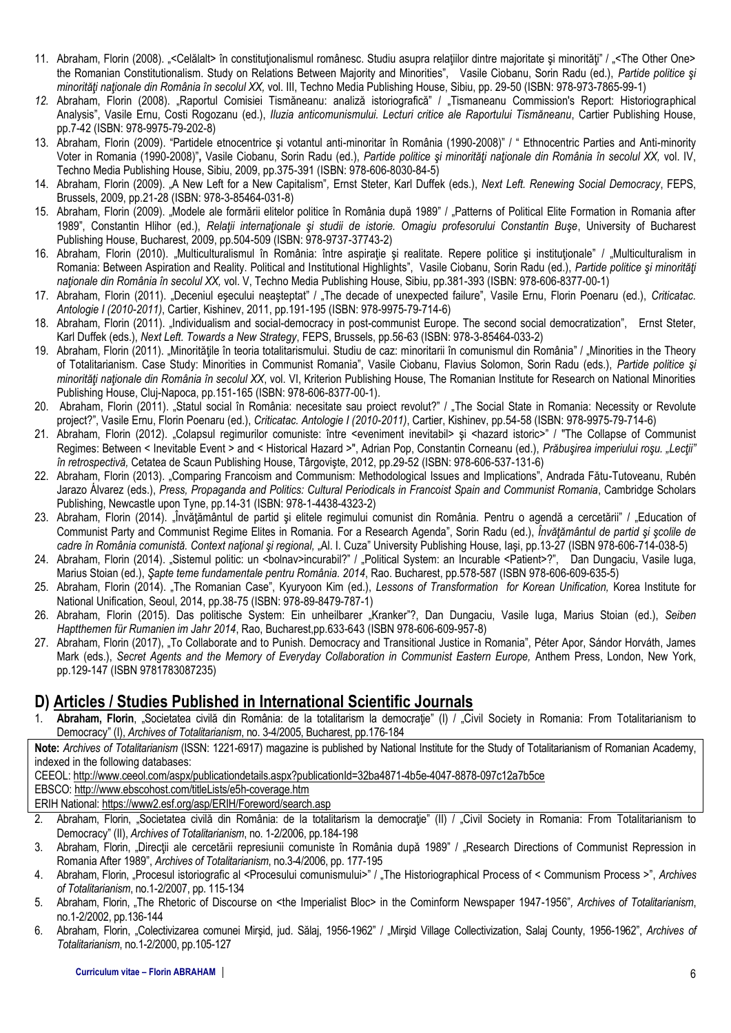- 11. Abraham, Florin (2008). «Celălalt> în constituționalismul românesc. Studiu asupra relațiilor dintre majoritate și minorități" / «The Other One> the Romanian Constitutionalism. Study on Relations Between Majority and Minorities", Vasile Ciobanu, Sorin Radu (ed.), *Partide politice şi minorităţi naţionale din România în secolul XX,* vol. III, Techno Media Publishing House, Sibiu, pp. 29-50 (ISBN: 978-973-7865-99-1)
- *12.* Abraham, Florin (2008). "Raportul Comisiei Tismăneanu: analiză istoriografică" / "Tismaneanu Commission's Report: Historiographical Analysis", Vasile Ernu, Costi Rogozanu (ed.), *Iluzia anticomunismului. Lecturi critice ale Raportului Tismăneanu*, Cartier Publishing House, pp.7-42 (ISBN: 978-9975-79-202-8)
- 13. Abraham, Florin (2009). "Partidele etnocentrice şi votantul anti-minoritar în România (1990-2008)" / " Ethnocentric Parties and Anti-minority Voter in Romania (1990-2008)"**,** Vasile Ciobanu, Sorin Radu (ed.), *Partide politice şi minorităţi naţionale din România în secolul XX,* vol. IV, Techno Media Publishing House, Sibiu, 2009, pp.375-391 (ISBN: 978-606-8030-84-5)
- 14. Abraham, Florin (2009). "A New Left for a New Capitalism"*,* Ernst Steter, Karl Duffek (eds.), *Next Left. Renewing Social Democracy*, FEPS, Brussels, 2009, pp.21-28 (ISBN: 978-3-85464-031-8)
- 15. Abraham, Florin (2009). "Modele ale formării elitelor politice în România după 1989" / "Patterns of Political Elite Formation in Romania after 1989", Constantin Hlihor (ed.), *Relaţii internaţionale şi studii de istorie. Omagiu profesorului Constantin Buşe*, University of Bucharest Publishing House, Bucharest, 2009, pp.504-509 (ISBN: 978-9737-37743-2)
- 16. Abraham, Florin (2010). "Multiculturalismul în România: între aspirație și realitate. Repere politice și instituționale" / "Multiculturalism in Romania: Between Aspiration and Reality. Political and Institutional Highlights", Vasile Ciobanu, Sorin Radu (ed.), *Partide politice şi minorităţi naţionale din România în secolul XX,* vol. V, Techno Media Publishing House, Sibiu, pp.381-393 (ISBN: 978-606-8377-00-1)
- 17. Abraham, Florin (2011). "Deceniul eşecului neaşteptat" / "The decade of unexpected failure", Vasile Ernu, Florin Poenaru (ed.), *Criticatac. Antologie I (2010-2011)*, Cartier, Kishinev, 2011, pp.191-195 (ISBN: 978-9975-79-714-6)
- 18. Abraham, Florin (2011). "Individualism and social-democracy in post-communist Europe. The second social democratization", Ernst Steter, Karl Duffek (eds.), *Next Left. Towards a New Strategy*, FEPS, Brussels, pp.56-63 (ISBN: 978-3-85464-033-2)
- 19. Abraham, Florin (2011). "Minorităţile în teoria totalitarismului. Studiu de caz: minoritarii în comunismul din România" / "Minorities in the Theory of Totalitarianism. Case Study: Minorities in Communist Romania", Vasile Ciobanu, Flavius Solomon, Sorin Radu (eds.), *Partide politice şi minorităţi naţionale din România în secolul XX*, vol. VI, Kriterion Publishing House, The Romanian Institute for Research on National Minorities Publishing House, Cluj-Napoca, pp.151-165 (ISBN: 978-606-8377-00-1).
- 20. Abraham, Florin (2011). "Statul social în România: necesitate sau proiect revolut?" / "The Social State in Romania: Necessity or Revolute project?", Vasile Ernu, Florin Poenaru (ed.), *Criticatac. Antologie I (2010-2011)*, Cartier, Kishinev, pp.54-58 (ISBN: 978-9975-79-714-6)
- 21. Abraham, Florin (2012). "Colapsul regimurilor comuniste: între <eveniment inevitabil> și <hazard istoric>" / "The Collapse of Communist Regimes: Between < Inevitable Event > and < Historical Hazard >", Adrian Pop, Constantin Corneanu (ed.), Prăbușirea imperiului roșu. "Lecții" *în retrospectivă,* Cetatea de Scaun Publishing House, Târgovişte, 2012, pp.29-52 (ISBN: 978-606-537-131-6)
- 22. Abraham, Florin (2013). "Comparing Francoism and Communism: Methodological Issues and Implications", Andrada Fătu-Tutoveanu, Rubén Jarazo Álvarez (eds.), *Press, Propaganda and Politics: Cultural Periodicals in Francoist Spain and Communist Romania*, Cambridge Scholars Publishing, Newcastle upon Tyne, pp.14-31 (ISBN: 978-1-4438-4323-2)
- 23. Abraham, Florin (2014). Învătământul de partid și elitele regimului comunist din România. Pentru o agendă a cercetării" / "Education of Communist Party and Communist Regime Elites in Romania. For a Research Agenda", Sorin Radu (ed.), *Învăţământul de partid şi şcolile de cadre în România comunistă. Context naţional şi regional,* "Al. I. Cuza" University Publishing House, Iaşi, pp.13-27 (ISBN 978-606-714-038-5)
- 24. Abraham, Florin (2014). "Sistemul politic: un <br/>
sublav>incurabil?" / "Political System: an Incurable <Patient>?", Dan Dungaciu, Vasile Iuga, Marius Stoian (ed.), *Şapte teme fundamentale pentru România. 2014*, Rao. Bucharest, pp.578-587 (ISBN 978-606-609-635-5)
- 25. Abraham, Florin (2014). "The Romanian Case", Kyuryoon Kim (ed.), *Lessons of Transformation for Korean Unification,* Korea Institute for National Unification, Seoul, 2014, pp.38-75 (ISBN: 978-89-8479-787-1)
- 26. Abraham, Florin (2015). Das politische System: Ein unheilbarer "Kranker"?, Dan Dungaciu, Vasile Iuga, Marius Stoian (ed.), *Seiben Haptthemen für Rumanien im Jahr 2014*, Rao, Bucharest,pp.633-643 (ISBN 978-606-609-957-8)
- 27. Abraham, Florin (2017), "To Collaborate and to Punish. Democracy and Transitional Justice in Romania", Péter Apor, Sándor Horváth, James Mark (eds.), *Secret Agents and the Memory of Everyday Collaboration in Communist Eastern Europe,* Anthem Press, London, New York, pp.129-147 (ISBN 9781783087235)

## **D) Articles / Studies Published in International Scientific Journals**

1. **Abraham, Florin**, "Societatea civilă din România: de la totalitarism la democrație" (I) / "Civil Society in Romania: From Totalitarianism to Democracy" (I), *Archives of Totalitarianism*, no. 3-4/2005, Bucharest, pp.176-184

**Note:** *Archives of Totalitarianism* (ISSN: 1221-6917) magazine is published by National Institute for the Study of Totalitarianism of Romanian Academy, indexed in the following databases:

CEEOL:<http://www.ceeol.com/aspx/publicationdetails.aspx?publicationId=32ba4871-4b5e-4047-8878-097c12a7b5ce>

EBSCO:<http://www.ebscohost.com/titleLists/e5h-coverage.htm>

ERIH National[: https://www2.esf.org/asp/ERIH/Foreword/search.asp](https://www2.esf.org/asp/ERIH/Foreword/search.asp)

- 2. Abraham, Florin, "Societatea civilă din România: de la totalitarism la democrație" (II) / "Civil Society in Romania: From Totalitarianism to Democracy" (II), *Archives of Totalitarianism*, no. 1-2/2006, pp.184-198
- 3. Abraham, Florin, "Direcții ale cercetării represiunii comuniste în România după 1989" / "Research Directions of Communist Repression in Romania After 1989", *Archives of Totalitarianism*, no.3-4/2006, pp. 177-195
- 4. Abraham, Florin, "Procesul istoriografic al <Procesului comunismului>" / "The Historiographical Process of < Communism Process >", *Archives of Totalitarianism*, no.1-2/2007, pp. 115-134
- 5. Abraham, Florin, "The Rhetoric of Discourse on <the Imperialist Bloc> in the Cominform Newspaper 1947-1956"*, Archives of Totalitarianism*, no.1-2/2002, pp.136-144
- 6. Abraham, Florin, "Colectivizarea comunei Mirşid, jud. Sălaj, 1956-1962" / "Mirşid Village Collectivization, Salaj County, 1956-1962", *Archives of Totalitarianism*, no.1-2/2000, pp.105-127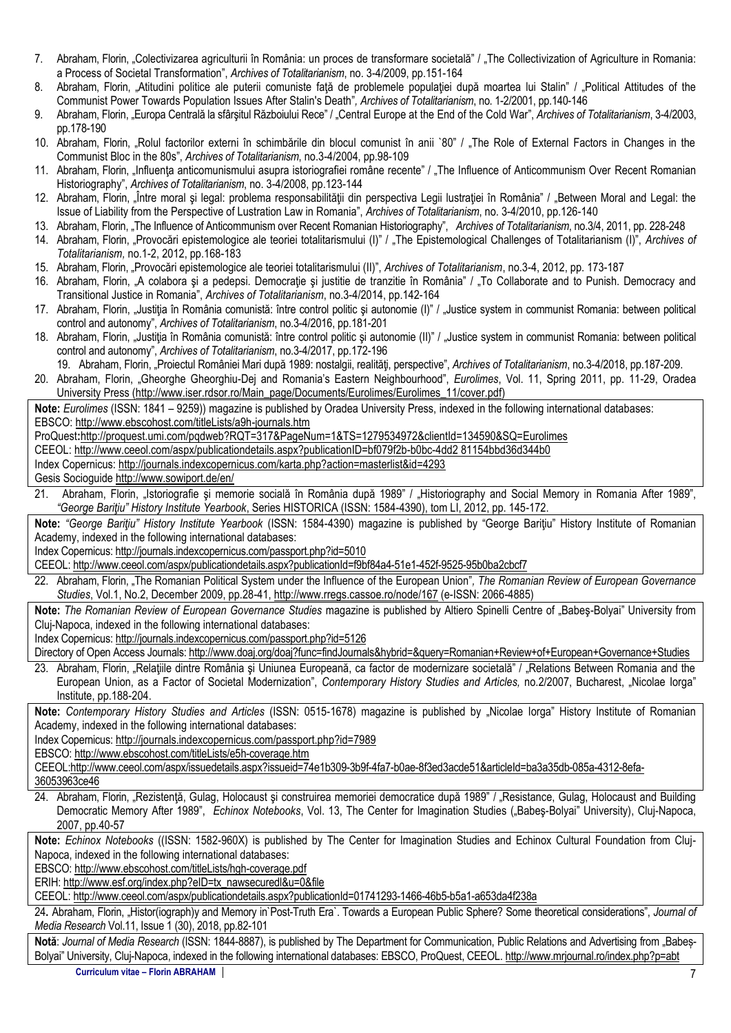- 7. Abraham, Florin, "Colectivizarea agriculturii în România: un proces de transformare societală" / "The Collectivization of Agriculture in Romania: a Process of Societal Transformation", *Archives of Totalitarianism*, no. 3-4/2009, pp.151-164
- 8. Abraham, Florin, "Atitudini politice ale puterii comuniste fată de problemele populației după moartea lui Stalin" / "Political Attitudes of the Communist Power Towards Population Issues After Stalin's Death"*, Archives of Totalitarianism*, no. 1-2/2001, pp.140-146
- 9. Abraham, Florin, "Europa Centrală la sfârşitul Războiului Rece" / "Central Europe at the End of the Cold War", *Archives of Totalitarianism*, 3-4/2003, pp.178-190
- 10. Abraham, Florin, "Rolul factorilor externi în schimbările din blocul comunist în anii `80" / "The Role of External Factors in Changes in the Communist Bloc in the 80s", *Archives of Totalitarianism*, no.3-4/2004, pp.98-109
- 11. Abraham, Florin, "Influența anticomunismului asupra istoriografiei române recente" / "The Influence of Anticommunism Over Recent Romanian Historiography", *Archives of Totalitarianism*, no. 3-4/2008, pp.123-144
- 12. Abraham, Florin, "Între moral și legal: problema responsabilității din perspectiva Legii lustrației în România" / "Between Moral and Legal: the Issue of Liability from the Perspective of Lustration Law in Romania", *Archives of Totalitarianism*, no. 3-4/2010, pp.126-140
- 13. Abraham, Florin, "The Influence of Anticommunism over Recent Romanian Historiography", *Archives of Totalitarianism*, no.3/4, 2011, pp. 228-248
- 14. Abraham, Florin, "Provocări epistemologice ale teoriei totalitarismului (I)" / "The Epistemological Challenges of Totalitarianism (I)", *Archives of Totalitarianism,* no.1-2, 2012, pp.168-183
- 15. Abraham, Florin, "Provocări epistemologice ale teoriei totalitarismului (II)", *Archives of Totalitarianism*, no.3-4, 2012, pp. 173-187
- 16. Abraham, Florin, "A colabora şi a pedepsi. Democraţie şi justitie de tranzitie în România" / "To Collaborate and to Punish. Democracy and Transitional Justice in Romania", *Archives of Totalitarianism*, no.3-4/2014, pp.142-164
- 17. Abraham, Florin, "Justiția în România comunistă: între control politic și autonomie (I)" / "Justice system in communist Romania: between political control and autonomy", *Archives of Totalitarianism*, no.3-4/2016, pp.181-201
- 18. Abraham, Florin, "Justiția în România comunistă: între control politic și autonomie (II)" / "Justice system in communist Romania: between political control and autonomy", *Archives of Totalitarianism*, no.3-4/2017, pp.172-196
- 19. Abraham, Florin, "Proiectul României Mari după 1989: nostalgii, realităţi, perspective", *Archives of Totalitarianism*, no.3-4/2018, pp.187-209.
- 20. Abraham, Florin, "Gheorghe Gheorghiu-Dej and Romania's Eastern Neighbourhood", *Eurolimes*, Vol. 11, Spring 2011, pp. 11-29, Oradea University Press (http://www.iser.rdsor.ro/Main\_page/Documents/Eurolimes/Eurolimes\_11/cover.pdf)

**Note:** *Eurolimes* (ISSN: 1841 – 9259)) magazine is published by Oradea University Press, indexed in the following international databases: EBSCO[: http://www.ebscohost.com/titleLists/a9h-journals.htm](http://www.ebscohost.com/titleLists/a9h-journals.htm)

ProQuest**:**<http://proquest.umi.com/pqdweb?RQT=317&PageNum=1&TS=1279534972&clientId=134590&SQ=Eurolimes>

CEEOL[: http://www.ceeol.com/aspx/publicationdetails.aspx?publicationID=bf079f2b-b0bc-4dd2](http://www.ceeol.com/aspx/publicationdetails.aspx?publicationID=bf079f2b-b0bc-4dd2) 81154bbd36d344b0

- Index Copernicus: <http://journals.indexcopernicus.com/karta.php?action=masterlist&id=4293>
- Gesis Socioguide <http://www.sowiport.de/en/>
- 21. Abraham, Florin, "Istoriografie și memorie socială în România după 1989" / "Historiography and Social Memory in Romania After 1989", *"George Bariţiu" History Institute Yearbook*, Series HISTORICA (ISSN: 1584-4390), tom LI, 2012, pp. 145-172.

**Note:** *"George Bariţiu" History Institute Yearbook* (ISSN: 1584-4390) magazine is published by "George Bariţiu" History Institute of Romanian Academy, indexed in the following international databases:

Index Copernicus[: http://journals.indexcopernicus.com/passport.php?id=5010](http://journals.indexcopernicus.com/passport.php?id=5010)

CEEOL[: http://www.ceeol.com/aspx/publicationdetails.aspx?publicationId=f9bf84a4-51e1-452f-9525-95b0ba2cbcf7](http://www.ceeol.com/aspx/publicationdetails.aspx?publicationId=f9bf84a4-51e1-452f-9525-95b0ba2cbcf7)

22. Abraham, Florin, "The Romanian Political System under the Influence of the European Union"*, [The Romanian Review of European Governance](http://www.cassoe.ro/?q=system/files/Vol-1_No.-1_June-2009.pdf)  [Studies](http://www.cassoe.ro/?q=system/files/Vol-1_No.-1_June-2009.pdf)*, Vol.1, No.2, December 2009, pp.28-41, http://www.rregs.cassoe.ro/node/167 (e-ISSN: 2066-4885)

Note: [The Romanian Review of European Governance Studies](http://www.cassoe.ro/?q=system/files/Vol-1_No.-1_June-2009.pdf) magazine is published by Altiero Spinelli Centre of "Babeş-Bolyai" University from Cluj-Napoca, indexed in the following international databases:

Index Copernicus: <http://journals.indexcopernicus.com/passport.php?id=5126>

Directory of Open Access Journals: [http://www.doaj.org/doaj?func=findJournals&hybrid=&query=Romanian+Review+of+](http://www.doaj.org/doaj?func=findJournals&hybrid=&query=Romanian+Review+of)European+Governance+Studies

23. Abraham, Florin, "Relaţiile dintre România şi Uniunea Europeană, ca factor de modernizare societală" / "Relations Between Romania and the European Union, as a Factor of Societal Modernization", *Contemporary History Studies and Articles,* no.2/2007, Bucharest, "Nicolae Iorga" Institute, pp.188-204.

Note: Contemporary History Studies and Articles (ISSN: 0515-1678) magazine is published by "Nicolae Iorga" History Institute of Romanian Academy, indexed in the following international databases:

Index Copernicus: http://journals.indexcopernicus.com/passport.php?id=7989

EBSCO:<http://www.ebscohost.com/titleLists/e5h-coverage.htm>

CEEOL:http://www.ceeol.com/aspx/issuedetails.aspx?issueid=74e1b309-3b9f-4fa7-b0ae-8f3ed3acde51&articleId=ba3a35db-085a-4312-8efa-36053963ce46

24. Abraham, Florin, "Rezistență, Gulag, Holocaust și construirea memoriei democratice după 1989" / "Resistance, Gulag, Holocaust and Building Democratic Memory After 1989", Echinox Notebooks, Vol. 13, The Center for Imagination Studies ("Babeş-Bolyai" University), Cluj-Napoca, 2007, pp.40-57

**Note:** *Echinox Notebooks* ((ISSN: 1582-960X) is published by The Center for Imagination Studies and Echinox Cultural Foundation from Cluj-Napoca, indexed in the following international databases:

EBSCO: <http://www.ebscohost.com/titleLists/hgh-coverage.pdf>

ERIH: [http://www.esf.org/index.php?eID=tx\\_nawsecuredl&u=0&file](http://www.esf.org/index.php?eID=tx_nawsecuredl&u=0&file)

CEEOL: <http://www.ceeol.com/aspx/publicationdetails.aspx?publicationId=01741293-1466-46b5-b5a1-a653da4f238a>

24**.** Abraham, Florin, "Histor(iograph)y and Memory in`Post-Truth Era`. Towards a European Public Sphere? Some theoretical considerations", *Journal of Media Research* Vol.11, Issue 1 (30), 2018, pp.82-101

Notă: Journal of Media Research (ISSN: 1844-8887), is published by The Department for Communication, Public Relations and Advertising from "Babeș-Bolyai" University, Cluj-Napoca, indexed in the following international databases: EBSCO, ProQuest, CEEOL[. http://www.mrjournal.ro/index.php?p=abt](http://www.mrjournal.ro/index.php?p=abt)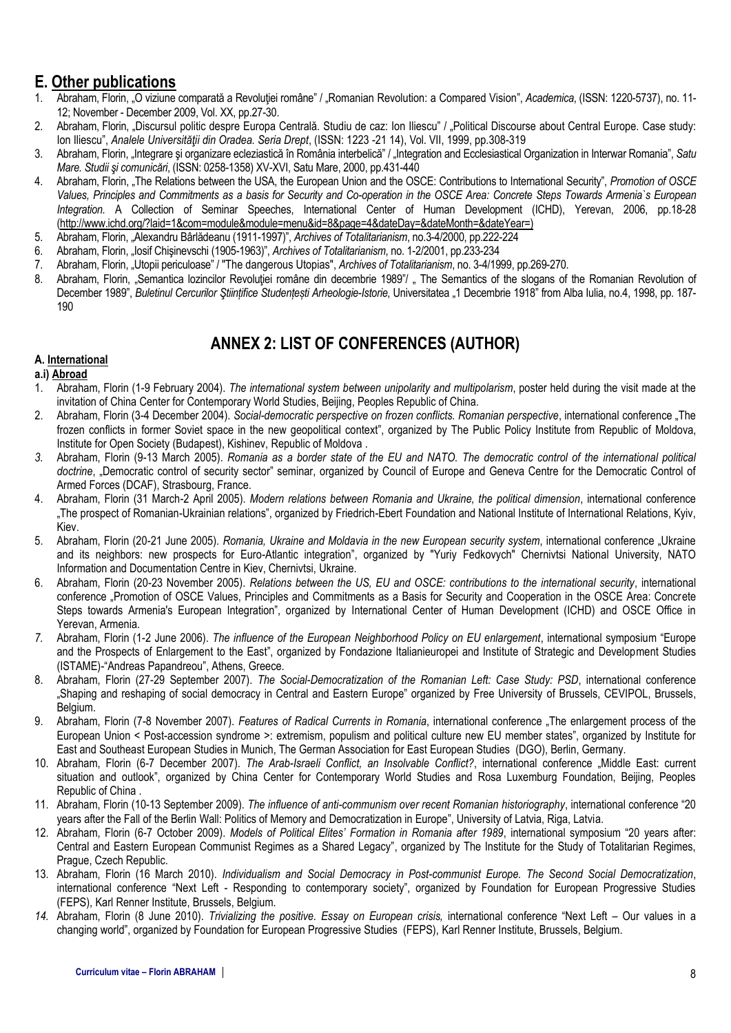# **E. Other publications**

- 1. Abraham, Florin, "O viziune comparată a Revoluţiei române" / "Romanian Revolution: a Compared Vision", *Academica*, (ISSN: 1220-5737), no. 11- 12; November - December 2009, Vol. XX, pp.27-30.
- 2. Abraham, Florin, "Discursul politic despre Europa Centrală. Studiu de caz: Ion Iliescu" / "Political Discourse about Central Europe. Case study: Ion Iliescu", *Analele Universităţii din Oradea. Seria Drept*, (ISSN: 1223 -21 14), Vol. VII, 1999, pp.308-319
- 3. Abraham, Florin, "Integrare şi organizare ecleziastică în România interbelică" / "Integration and Ecclesiastical Organization in Interwar Romania", *Satu Mare. Studii şi comunicări*, (ISSN: 0258-1358) XV-XVI, Satu Mare, 2000, pp.431-440
- 4. Abraham, Florin, "The Relations between the USA, the European Union and the OSCE: Contributions to International Security", *Promotion of OSCE Values, Principles and Commitments as a basis for Security and Co-operation in the OSCE Area: Concrete Steps Towards Armenia`s European Integration.* A Collection of Seminar Speeches, International Center of Human Development (ICHD), Yerevan, 2006, pp.18-28 [\(http://www.ichd.org/?laid=1&com=module&module=menu&id=8&page=4&dateDay=&dateMonth=&dateYear=](http://www.ichd.org/?laid=1&com=module&module=menu&id=8&page=4&dateDay=&dateMonth=&dateYear))
- 5. Abraham, Florin, "Alexandru Bârlădeanu (1911-1997)", *Archives of Totalitarianism*, no.3-4/2000, pp.222-224
- 6. Abraham, Florin, "Iosif Chişinevschi (1905-1963)", *Archives of Totalitarianism*, no. 1-2/2001, pp.233-234
- 7. Abraham, Florin, "Utopii periculoase" / "The dangerous Utopias", *Archives of Totalitarianism*, no. 3-4/1999, pp.269-270.
- 8. Abraham, Florin, "Semantica lozincilor Revolutiei române din decembrie 1989"/ "The Semantics of the slogans of the Romanian Revolution of December 1989", *Buletinul Cercurilor Ştiințifice Studențești Arheologie-Istorie*, Universitatea "1 Decembrie 1918" from Alba Iulia, no.4, 1998, pp. 187- 190

# **ANNEX 2: LIST OF CONFERENCES (AUTHOR)**

#### **A. International**

- **a.i) Abroad**
- 1. Abraham, Florin (1-9 February 2004). *The international system between unipolarity and multipolarism*, poster held during the visit made at the invitation of China Center for Contemporary World Studies, Beijing, Peoples Republic of China.
- 2. Abraham, Florin (3-4 December 2004). *Social-democratic perspective on frozen conflicts. Romanian perspective*, international conference "The frozen conflicts in former Soviet space in the new geopolitical context", organized by The Public Policy Institute from Republic of Moldova, Institute for Open Society (Budapest), Kishinev, Republic of Moldova .
- *3.* Abraham, Florin (9-13 March 2005). *Romania as a border state of the EU and NATO. The democratic control of the international political doctrine*, "Democratic control of security sector" seminar, organized by Council of Europe and Geneva Centre for the Democratic Control of Armed Forces (DCAF), Strasbourg, France.
- 4. Abraham, Florin (31 March-2 April 2005). *Modern relations between Romania and Ukraine, the political dimension*, international conference "The prospect of Romanian-Ukrainian relations", organized by Friedrich-Ebert Foundation and National Institute of International Relations, Kyiv, Kiev.
- 5. Abraham, Florin (20-21 June 2005). *Romania, Ukraine and Moldavia in the new European security system*, international conference "Ukraine and its neighbors: new prospects for Euro-Atlantic integration", organized by "Yuriy Fedkovych" Chernivtsi National University, NATO Information and Documentation Centre in Kiev, Chernivtsi, Ukraine.
- 6. Abraham, Florin (20-23 November 2005). *Relations between the US, EU and OSCE: contributions to the international security*, international conference "Promotion of OSCE Values, Principles and Commitments as a Basis for Security and Cooperation in the OSCE Area: Concrete Steps towards Armenia's European Integration", organized by International Center of Human Development (ICHD) and OSCE Office in Yerevan, Armenia.
- *7.* Abraham, Florin (1-2 June 2006). *The influence of the European Neighborhood Policy on EU enlargement*, international symposium "Europe and the Prospects of Enlargement to the East", organized by Fondazione Italianieuropei and Institute of Strategic and Development Studies (ISTAME)-"Andreas Papandreou", Athens, Greece.
- 8. Abraham, Florin (27-29 September 2007). *The Social-Democratization of the Romanian Left: Case Study: PSD*, international conference "Shaping and reshaping of social democracy in Central and Eastern Europe" organized by Free University of Brussels, CEVIPOL, Brussels, Belgium.
- 9. Abraham, Florin (7-8 November 2007). *Features of Radical Currents in Romania*, international conference "The enlargement process of the European Union < Post-accession syndrome >: extremism, populism and political culture new EU member states", organized by Institute for East and Southeast European Studies in Munich, The German Association for East European Studies (DGO), Berlin, Germany.
- 10. Abraham, Florin (6-7 December 2007). *The Arab-Israeli Conflict, an Insolvable Conflict?*, international conference "Middle East: current situation and outlook", organized by China Center for Contemporary World Studies and Rosa Luxemburg Foundation, Beijing, Peoples Republic of China .
- 11. Abraham, Florin (10-13 September 2009). *The influence of anti-communism over recent Romanian historiography*, international conference "20 years after the Fall of the Berlin Wall: Politics of Memory and Democratization in Europe", University of Latvia, Riga, Latvia.
- 12. Abraham, Florin (6-7 October 2009). *Models of Political Elites' Formation in Romania after 1989*, international symposium "20 years after: Central and Eastern European Communist Regimes as a Shared Legacy", organized by The Institute for the Study of Totalitarian Regimes, Prague, Czech Republic.
- 13. Abraham, Florin (16 March 2010). *Individualism and Social Democracy in Post-communist Europe. The Second Social Democratization*, international conference "Next Left - Responding to contemporary society", organized by Foundation for European Progressive Studies (FEPS), Karl Renner Institute, Brussels, Belgium.
- *14.* Abraham, Florin (8 June 2010). *Trivializing the positive. Essay on European crisis,* international conference "Next Left Our values in a changing world", organized by Foundation for European Progressive Studies (FEPS), Karl Renner Institute, Brussels, Belgium.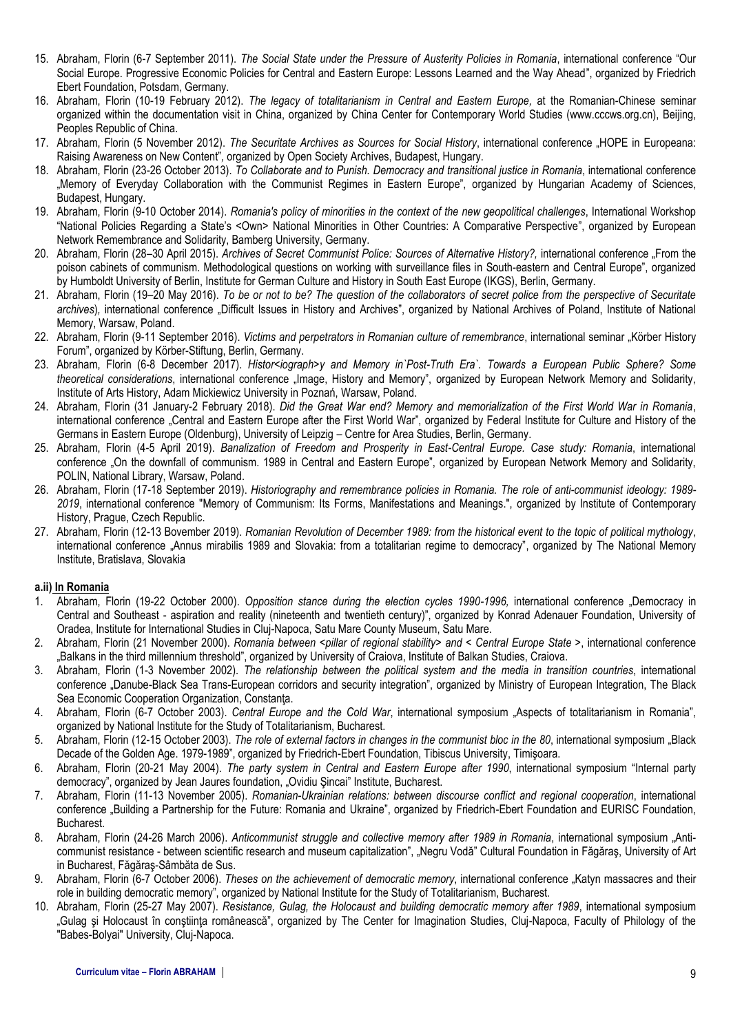- 15. Abraham, Florin (6-7 September 2011). *The Social State under the Pressure of Austerity Policies in Romania*, international conference "Our Social Europe. Progressive Economic Policies for Central and Eastern Europe: Lessons Learned and the Way Ahead", organized by Friedrich Ebert Foundation, Potsdam, Germany.
- 16. Abraham, Florin (10-19 February 2012). *The legacy of totalitarianism in Central and Eastern Europe,* at the Romanian-Chinese seminar organized within the documentation visit in China, organized by China Center for Contemporary World Studies (www.cccws.org.cn), Beijing, Peoples Republic of China.
- 17. Abraham, Florin (5 November 2012). *The Securitate Archives as Sources for Social History*, international conference "HOPE in Europeana: Raising Awareness on New Content"*,* organized by Open Society Archives, Budapest, Hungary.
- 18. Abraham, Florin (23-26 October 2013). *To Collaborate and to Punish. Democracy and transitional justice in Romania*, international conference "Memory of Everyday Collaboration with the Communist Regimes in Eastern Europe", organized by Hungarian Academy of Sciences, Budapest, Hungary.
- 19. Abraham, Florin (9-10 October 2014). *Romania's policy of minorities in the context of the new geopolitical challenges*, International Workshop "National Policies Regarding a State's <Own> National Minorities in Other Countries: A Comparative Perspective", organized by European Network Remembrance and Solidarity, Bamberg University, Germany.
- 20. Abraham, Florin (28–30 April 2015). *Archives of Secret Communist Police: Sources of Alternative History?,* international conference "From the poison cabinets of communism. Methodological questions on working with surveillance files in South-eastern and Central Europe", organized by Humboldt University of Berlin, Institute for German Culture and History in South East Europe (IKGS), Berlin, Germany.
- 21. Abraham, Florin (19–20 May 2016). *To be or not to be? The question of the collaborators of secret police from the perspective of Securitate archives*)*,* international conference "Difficult Issues in History and Archives", organized by National Archives of Poland, Institute of National Memory, Warsaw, Poland.
- 22. Abraham, Florin (9-11 September 2016). Victims and perpetrators in Romanian culture of remembrance, international seminar "Körber History Forum", organized by Körber-Stiftung, Berlin, Germany.
- 23. Abraham, Florin (6-8 December 2017). *Histor<iograph>y and Memory in`Post-Truth Era`. Towards a European Public Sphere? Some theoretical considerations*, international conference "Image, History and Memory", organized by European Network Memory and Solidarity, Institute of Arts History, Adam Mickiewicz University in Poznań, Warsaw, Poland.
- 24. Abraham, Florin (31 January-2 February 2018). *Did the Great War end? Memory and memorialization of the First World War in Romania*, international conference "Central and Eastern Europe after the First World War", organized by Federal Institute for Culture and History of the Germans in Eastern Europe (Oldenburg), University of Leipzig – Centre for Area Studies, Berlin, Germany.
- 25. Abraham, Florin (4-5 April 2019). *Banalization of Freedom and Prosperity in East-Central Europe. Case study: Romania*, international conference "On the downfall of communism. 1989 in Central and Eastern Europe", organized by European Network Memory and Solidarity, POLIN, National Library, Warsaw, Poland.
- 26. Abraham, Florin (17-18 September 2019). *Historiography and remembrance policies in Romania. The role of anti-communist ideology: 1989- 2019*, international conference "Memory of Communism: Its Forms, Manifestations and Meanings.", organized by Institute of Contemporary History, Prague, Czech Republic.
- 27. Abraham, Florin (12-13 Bovember 2019). *Romanian Revolution of December 1989: from the historical event to the topic of political mythology*, international conference "Annus mirabilis 1989 and Slovakia: from a totalitarian regime to democracy", organized by The National Memory Institute, Bratislava, Slovakia

#### **a.ii) In Romania**

- 1. Abraham, Florin (19-22 October 2000). *Opposition stance during the election cycles 1990-1996,* international conference "Democracy in Central and Southeast - aspiration and reality (nineteenth and twentieth century)", organized by Konrad Adenauer Foundation, University of Oradea, Institute for International Studies in Cluj-Napoca, Satu Mare County Museum, Satu Mare.
- 2. Abraham, Florin (21 November 2000). *Romania between <pillar of regional stability> and < Central Europe State >*, international conference "Balkans in the third millennium threshold", organized by University of Craiova, Institute of Balkan Studies, Craiova.
- 3. Abraham, Florin (1-3 November 2002). *The relationship between the political system and the media in transition countries*, international conference "Danube-Black Sea Trans-European corridors and security integration", organized by Ministry of European Integration, The Black Sea Economic Cooperation Organization, Constanţa.
- 4. Abraham, Florin (6-7 October 2003). *Central Europe and the Cold War*, international symposium "Aspects of totalitarianism in Romania", organized by National Institute for the Study of Totalitarianism, Bucharest.
- 5. Abraham, Florin (12-15 October 2003). *The role of external factors in changes in the communist bloc in the 80*, international symposium "Black Decade of the Golden Age. 1979-1989", organized by Friedrich-Ebert Foundation, Tibiscus University, Timişoara.
- 6. Abraham, Florin (20-21 May 2004). *The party system in Central and Eastern Europe after 1990*, international symposium "Internal party democracy", organized by Jean Jaures foundation, "Ovidiu Şincai" Institute, Bucharest.
- 7. Abraham, Florin (11-13 November 2005). *Romanian-Ukrainian relations: between discourse conflict and regional cooperation*, international conference "Building a Partnership for the Future: Romania and Ukraine", organized by Friedrich-Ebert Foundation and EURISC Foundation, Bucharest.
- 8. Abraham, Florin (24-26 March 2006). Anticommunist struggle and collective memory after 1989 in Romania, international symposium "Anticommunist resistance - between scientific research and museum capitalization", "Negru Vodă" Cultural Foundation in Făgăraș, University of Art in Bucharest, Făgăraş-Sâmbăta de Sus.
- 9. Abraham, Florin (6-7 October 2006). *Theses on the achievement of democratic memory*, international conference "Katyn massacres and their role in building democratic memory", organized by National Institute for the Study of Totalitarianism, Bucharest.
- 10. Abraham, Florin (25-27 May 2007). *Resistance, Gulag, the Holocaust and building democratic memory after 1989*, international symposium "Gulag şi Holocaust în conştiinţa românească", organized by The Center for Imagination Studies, Cluj-Napoca, Faculty of Philology of the "Babes-Bolyai" University, Cluj-Napoca.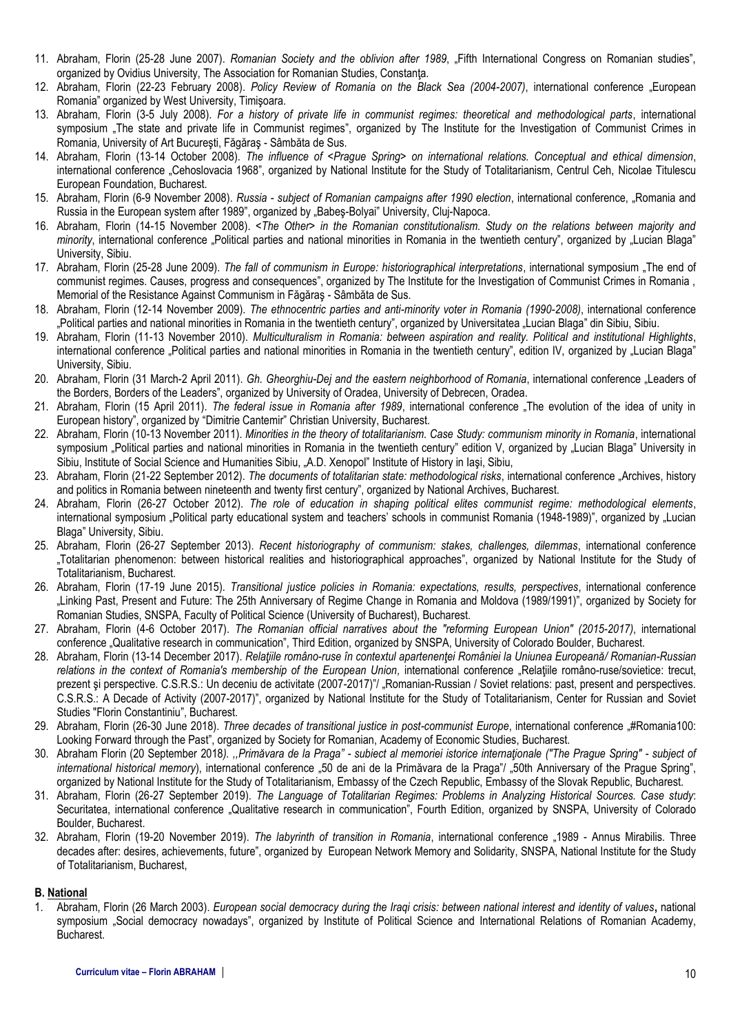- 11. Abraham, Florin (25-28 June 2007). *Romanian Society and the oblivion after 1989*, "Fifth International Congress on Romanian studies", organized by Ovidius University, The Association for Romanian Studies, Constanta.
- 12. Abraham, Florin (22-23 February 2008). *Policy Review of Romania on the Black Sea (2004-2007)*, international conference "European Romania" organized by West University, Timişoara.
- 13. Abraham, Florin (3-5 July 2008). *For a history of private life in communist regimes: theoretical and methodological parts*, international symposium "The state and private life in Communist regimes", organized by The Institute for the Investigation of Communist Crimes in Romania, University of Art Bucureşti, Făgăraş - Sâmbăta de Sus.
- 14. Abraham, Florin (13-14 October 2008). *The influence of <Prague Spring> on international relations. Conceptual and ethical dimension*, international conference "Cehoslovacia 1968", organized by National Institute for the Study of Totalitarianism, Centrul Ceh, Nicolae Titulescu European Foundation, Bucharest.
- 15. Abraham, Florin (6-9 November 2008). *Russia - subject of Romanian campaigns after 1990 election*, international conference, "Romania and Russia in the European system after 1989", organized by "Babes-Bolyai" University, Cluj-Napoca.
- 16. Abraham, Florin (14-15 November 2008). *<The Other> in the Romanian constitutionalism. Study on the relations between majority and*  minority, international conference "Political parties and national minorities in Romania in the twentieth century", organized by "Lucian Blaga" University, Sibiu.
- 17. Abraham, Florin (25-28 June 2009). *The fall of communism in Europe: historiographical interpretations*, international symposium "The end of communist regimes. Causes, progress and consequences", organized by The Institute for the Investigation of Communist Crimes in Romania , Memorial of the Resistance Against Communism in Făgăraş - Sâmbăta de Sus.
- 18. Abraham, Florin (12-14 November 2009). *The ethnocentric parties and anti-minority voter in Romania (1990-2008)*, international conference "Political parties and national minorities in Romania in the twentieth century", organized by Universitatea "Lucian Blaga" din Sibiu, Sibiu.
- 19. Abraham, Florin (11-13 November 2010). *Multiculturalism in Romania: between aspiration and reality. Political and institutional Highlights*, international conference "Political parties and national minorities in Romania in the twentieth century", edition IV, organized by "Lucian Blaga" University, Sibiu.
- 20. Abraham, Florin (31 March-2 April 2011). *Gh. Gheorghiu-Dej and the eastern neighborhood of Romania*, international conference "Leaders of the Borders, Borders of the Leaders", organized by University of Oradea, University of Debrecen, Oradea.
- 21. Abraham, Florin (15 April 2011). *The federal issue in Romania after 1989*, international conference "The evolution of the idea of unity in European history", organized by "Dimitrie Cantemir" Christian University, Bucharest.
- 22. Abraham, Florin (10-13 November 2011). *Minorities in the theory of totalitarianism. Case Study: communism minority in Romania*, international symposium . Political parties and national minorities in Romania in the twentieth century" edition V, organized by "Lucian Blaga" University in Sibiu, Institute of Social Science and Humanities Sibiu, "A.D. Xenopol" Institute of History in Iaşi, Sibiu,
- 23. Abraham, Florin (21-22 September 2012). *The documents of totalitarian state: methodological risks*, international conference "Archives, history and politics in Romania between nineteenth and twenty first century", organized by National Archives, Bucharest.
- 24. Abraham, Florin (26-27 October 2012). *The role of education in shaping political elites communist regime: methodological elements*, international symposium "Political party educational system and teachers' schools in communist Romania (1948-1989)", organized by "Lucian Blaga" University, Sibiu.
- 25. Abraham, Florin (26-27 September 2013). *Recent historiography of communism: stakes, challenges, dilemmas*, international conference "Totalitarian phenomenon: between historical realities and historiographical approaches", organized by National Institute for the Study of Totalitarianism, Bucharest.
- 26. Abraham, Florin (17-19 June 2015). *Transitional justice policies in Romania: expectations, results, perspectives*, international conference "Linking Past, Present and Future: The 25th Anniversary of Regime Change in Romania and Moldova (1989/1991)", organized by Society for Romanian Studies, SNSPA, Faculty of Political Science (University of Bucharest), Bucharest.
- 27. Abraham, Florin (4-6 October 2017). *The Romanian official narratives about the "reforming European Union" (2015-2017)*, international conference "Qualitative research in communication", Third Edition, organized by SNSPA, University of Colorado Boulder, Bucharest.
- 28. Abraham, Florin (13-14 December 2017). *Relaţiile româno-ruse în contextul apartenenţei României la Uniunea Europeană/ Romanian-Russian*  relations in the context of Romania's membership of the European Union, international conference "Relatiile româno-ruse/sovietice: trecut, prezent și perspective. C.S.R.S.: Un deceniu de activitate (2007-2017)", Romanian-Russian / Soviet relations: past, present and perspectives. C.S.R.S.: A Decade of Activity (2007-2017)", organized by National Institute for the Study of Totalitarianism, Center for Russian and Soviet Studies "Florin Constantiniu", Bucharest.
- 29. Abraham, Florin (26-30 June 2018). *Three decades of transitional justice in post-communist Europe*, international conference "#Romania100: Looking Forward through the Past", organized by Society for Romanian, Academy of Economic Studies, Bucharest.
- 30. Abraham Florin (20 September 2018*). ,,Primăvara de la Praga" - subiect al memoriei istorice internaţionale ("The Prague Spring" - subject of international historical memory*), international conference "50 de ani de la Primăvara de la Praga"/ "50th Anniversary of the Prague Spring", organized by National Institute for the Study of Totalitarianism, Embassy of the Czech Republic, Embassy of the Slovak Republic, Bucharest.
- 31. Abraham, Florin (26-27 September 2019). *The Language of Totalitarian Regimes: Problems in Analyzing Historical Sources. Case study*: Securitatea, international conference "Qualitative research in communication", Fourth Edition, organized by SNSPA, University of Colorado Boulder, Bucharest.
- 32. Abraham, Florin (19-20 November 2019). *The labyrinth of transition in Romania*, international conference "1989 Annus Mirabilis. Three decades after: desires, achievements, future", organized by European Network Memory and Solidarity, SNSPA, National Institute for the Study of Totalitarianism, Bucharest,

#### **B. National**

1. Abraham, Florin (26 March 2003). *European social democracy during the Iraqi crisis: between national interest and identity of values***,** national symposium "Social democracy nowadays", organized by Institute of Political Science and International Relations of Romanian Academy, Bucharest.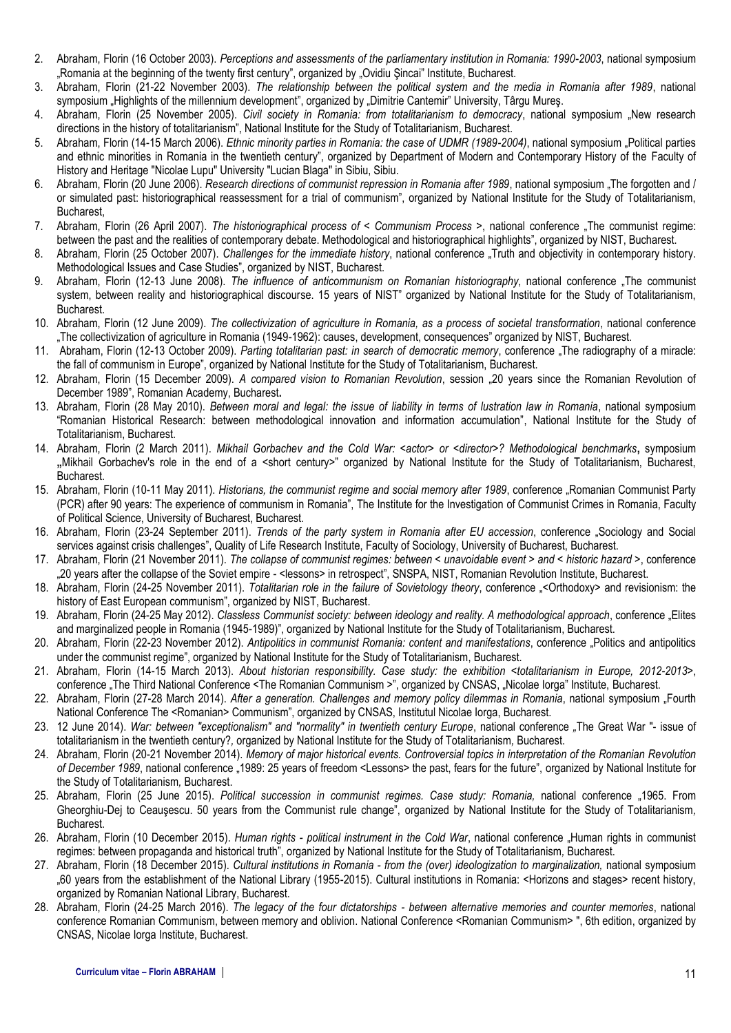- 2. Abraham, Florin (16 October 2003). *Perceptions and assessments of the parliamentary institution in Romania: 1990-2003*, national symposium "Romania at the beginning of the twenty first century", organized by "Ovidiu Şincai" Institute, Bucharest.
- 3. Abraham, Florin (21-22 November 2003). *The relationship between the political system and the media in Romania after 1989*, national symposium "Highlights of the millennium development", organized by "Dimitrie Cantemir" University, Târgu Mureș.
- 4. Abraham, Florin (25 November 2005). *Civil society in Romania: from totalitarianism to democracy*, national symposium "New research directions in the history of totalitarianism", National Institute for the Study of Totalitarianism, Bucharest.
- 5. Abraham, Florin (14-15 March 2006). *Ethnic minority parties in Romania: the case of UDMR (1989-2004)*, national symposium "Political parties and ethnic minorities in Romania in the twentieth century", organized by Department of Modern and Contemporary History of the Faculty of History and Heritage "Nicolae Lupu" University "Lucian Blaga" in Sibiu, Sibiu.
- 6. Abraham, Florin (20 June 2006). Research directions of communist repression in Romania after 1989, national symposium "The forgotten and / or simulated past: historiographical reassessment for a trial of communism", organized by National Institute for the Study of Totalitarianism, Bucharest,
- 7. Abraham, Florin (26 April 2007). *The historiographical process of < Communism Process >*, national conference "The communist regime: between the past and the realities of contemporary debate. Methodological and historiographical highlights", organized by NIST, Bucharest.
- 8. Abraham, Florin (25 October 2007). *Challenges for the immediate history*, national conference "Truth and objectivity in contemporary history. Methodological Issues and Case Studies", organized by NIST, Bucharest.
- 9. Abraham, Florin (12-13 June 2008). *The influence of anticommunism on Romanian historiography*, national conference "The communist system, between reality and historiographical discourse. 15 years of NIST" organized by National Institute for the Study of Totalitarianism, Bucharest.
- 10. Abraham, Florin (12 June 2009). *The collectivization of agriculture in Romania, as a process of societal transformation*, national conference "The collectivization of agriculture in Romania (1949-1962): causes, development, consequences" organized by NIST, Bucharest.
- 11. Abraham, Florin (12-13 October 2009). Parting totalitarian past: in search of democratic memory, conference "The radiography of a miracle: the fall of communism in Europe", organized by National Institute for the Study of Totalitarianism, Bucharest.
- 12. Abraham, Florin (15 December 2009). *A compared vision to Romanian Revolution*, session "20 years since the Romanian Revolution of December 1989", Romanian Academy, Bucharest**.**
- 13. Abraham, Florin (28 May 2010). *Between moral and legal: the issue of liability in terms of lustration law in Romania*, national symposium "Romanian Historical Research: between methodological innovation and information accumulation", National Institute for the Study of Totalitarianism, Bucharest.
- 14. Abraham, Florin (2 March 2011). *Mikhail Gorbachev and the Cold War: <actor> or <director>? Methodological benchmarks***,** symposium **"**Mikhail Gorbachev's role in the end of a *<*short century>" organized by National Institute for the Study of Totalitarianism, Bucharest, Bucharest.
- 15. Abraham, Florin (10-11 May 2011). *Historians, the communist regime and social memory after 1989*, conference "Romanian Communist Party (PCR) after 90 years: The experience of communism in Romania", The Institute for the Investigation of Communist Crimes in Romania, Faculty of Political Science, University of Bucharest, Bucharest.
- 16. Abraham, Florin (23-24 September 2011). *Trends of the party system in Romania after EU accession*, conference "Sociology and Social services against crisis challenges", Quality of Life Research Institute, Faculty of Sociology, University of Bucharest, Bucharest.
- 17. Abraham, Florin (21 November 2011). *The collapse of communist regimes: between < unavoidable event > and < historic hazard >*, conference "20 years after the collapse of the Soviet empire - <lessons> in retrospect", SNSPA, NIST, Romanian Revolution Institute, Bucharest.
- 18. Abraham, Florin (24-25 November 2011). *Totalitarian role in the failure of Sovietology theory*, conference "<Orthodoxy> and revisionism: the history of East European communism", organized by NIST, Bucharest.
- 19. Abraham, Florin (24-25 May 2012). *Classless Communist society: between ideology and reality. A methodological approach*, conference "Elites and marginalized people in Romania (1945-1989)", organized by National Institute for the Study of Totalitarianism, Bucharest.
- 20. Abraham, Florin (22-23 November 2012). *Antipolitics in communist Romania: content and manifestations*, conference "Politics and antipolitics under the communist regime", organized by National Institute for the Study of Totalitarianism, Bucharest.
- 21. Abraham, Florin (14-15 March 2013). *About historian responsibility. Case study: the exhibition* <*totalitarianism in Europe, 2012-2013*>, conference "The Third National Conference <The Romanian Communism >", organized by CNSAS, "Nicolae Iorga" Institute, Bucharest.
- 22. Abraham, Florin (27-28 March 2014). *After a generation. Challenges and memory policy dilemmas in Romania*, national symposium "Fourth National Conference The <Romanian> Communism", organized by CNSAS, Institutul Nicolae Iorga, Bucharest.
- 23. 12 June 2014). *War: between "exceptionalism" and "normality" in twentieth century Europe*, national conference *"*The Great War "- issue of totalitarianism in the twentieth century?*,* organized by National Institute for the Study of Totalitarianism*,* Bucharest.
- 24. Abraham, Florin (20-21 November 2014). *Memory of major historical events. Controversial topics in interpretation of the Romanian Revolution*  of December 1989, national conference "1989: 25 years of freedom <Lessons> the past, fears for the future", organized by National Institute for the Study of Totalitarianism*,* Bucharest.
- 25. Abraham, Florin (25 June 2015). Political succession in communist regimes. Case study: Romania, national conference "1965. From Gheorghiu-Dej to Ceauşescu. 50 years from the Communist rule change", organized by National Institute for the Study of Totalitarianism*,*  Bucharest.
- 26. Abraham, Florin (10 December 2015). *Human rights political instrument in the Cold War*, national conference "Human rights in communist regimes: between propaganda and historical truth", organized by National Institute for the Study of Totalitarianism*,* Bucharest.
- 27. Abraham, Florin (18 December 2015). *Cultural institutions in Romania - from the (over) ideologization to marginalization,* national symposium "60 years from the establishment of the National Library (1955-2015). Cultural institutions in Romania: <Horizons and stages> recent history, organized by Romanian National Library, Bucharest.
- 28. Abraham, Florin (24-25 March 2016). *The legacy of the four dictatorships - between alternative memories and counter memories*, national conference Romanian Communism, between memory and oblivion. National Conference <Romanian Communism> ", 6th edition, organized by CNSAS, Nicolae Iorga Institute, Bucharest.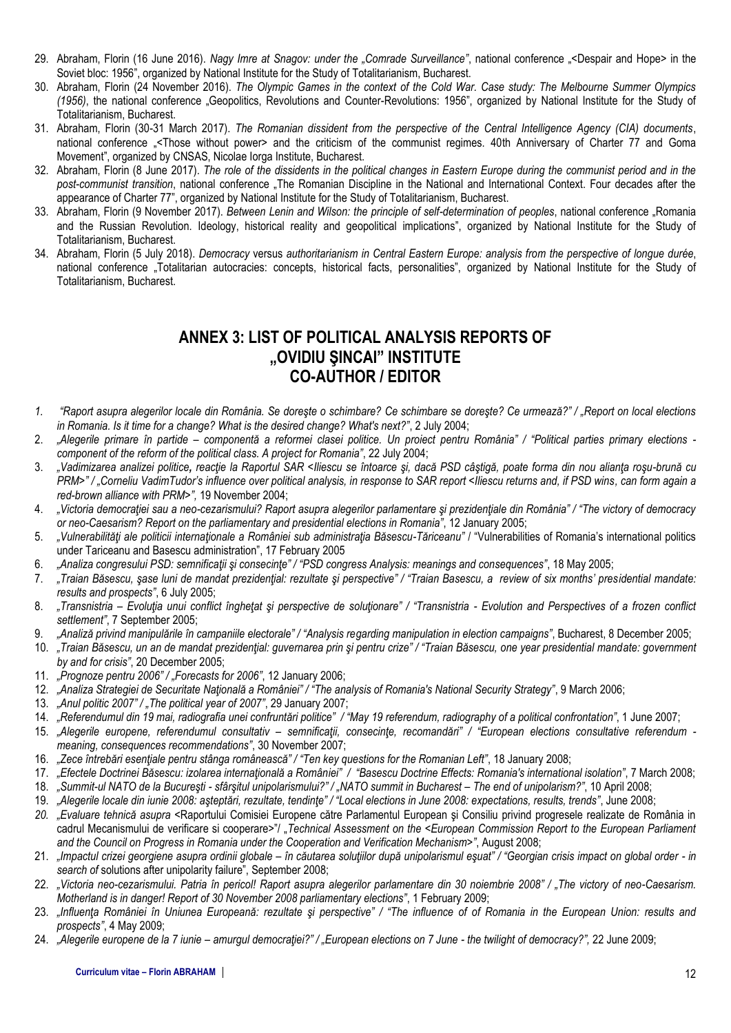- 29. Abraham, Florin (16 June 2016). *Nagy Imre at Snagov: under the "Comrade Surveillance"*, national conference "<Despair and Hope> in the Soviet bloc: 1956", organized by National Institute for the Study of Totalitarianism, Bucharest.
- 30. Abraham, Florin (24 November 2016). *The Olympic Games in the context of the Cold War. Case study: The Melbourne Summer Olympics (1956)*, the national conference "Geopolitics, Revolutions and Counter-Revolutions: 1956", organized by National Institute for the Study of Totalitarianism, Bucharest.
- 31. Abraham, Florin (30-31 March 2017). *The Romanian dissident from the perspective of the Central Intelligence Agency (CIA) documents*, national conference "<Those without power> and the criticism of the communist regimes. 40th Anniversary of Charter 77 and Goma Movement", organized by CNSAS, Nicolae Iorga Institute, Bucharest.
- 32. Abraham, Florin (8 June 2017). *The role of the dissidents in the political changes in Eastern Europe during the communist period and in the post-communist transition*, national conference "The Romanian Discipline in the National and International Context. Four decades after the appearance of Charter 77", organized by National Institute for the Study of Totalitarianism, Bucharest.
- 33. Abraham, Florin (9 November 2017). *Between Lenin and Wilson: the principle of self-determination of peoples*, national conference "Romania and the Russian Revolution. Ideology, historical reality and geopolitical implications", organized by National Institute for the Study of Totalitarianism, Bucharest.
- 34. Abraham, Florin (5 July 2018). *Democracy* versus *authoritarianism in Central Eastern Europe: analysis from the perspective of longue durée*, national conference "Totalitarian autocracies: concepts, historical facts, personalities", organized by National Institute for the Study of Totalitarianism, Bucharest.

# **ANNEX 3: LIST OF POLITICAL ANALYSIS REPORTS OF "OVIDIU ŞINCAI" INSTITUTE CO-AUTHOR / EDITOR**

- *1. "Raport asupra alegerilor locale din România. Se doreşte o schimbare? Ce schimbare se doreşte? Ce urmează?" / "Report on local elections in Romania. Is it time for a change? What is the desired change? What's next?"*, 2 July 2004;
- 2. *"Alegerile primare în partide – componentă a reformei clasei politice. Un proiect pentru România" / "Political parties primary elections component of the reform of the political class. A project for Romania"*, 22 July 2004;
- 3. *"Vadimizarea analizei politice, reacţie la Raportul SAR <Iliescu se întoarce şi, dacă PSD câştigă, poate forma din nou alianţa roşu-brună cu PRM>" / "Corneliu VadimTudor's influence over political analysis, in response to SAR report <Iliescu returns and, if PSD wins, can form again a red-brown alliance with PRM>",* 19 November 2004;
- 4. *"Victoria democraţiei sau a neo-cezarismului? Raport asupra alegerilor parlamentare şi prezidenţiale din România" / "The victory of democracy or neo-Caesarism? Report on the parliamentary and presidential elections in Romania"*, 12 January 2005;
- 5. *"Vulnerabilităţi ale politicii internaţionale a României sub administraţia Băsescu-Tăriceanu"* / "Vulnerabilities of Romania's international politics under Tariceanu and Basescu administration", 17 February 2005
- 6. *"Analiza congresului PSD: semnificaţii şi consecinţe" / "PSD congress Analysis: meanings and consequences"*, 18 May 2005;
- 7. *"Traian Băsescu, şase luni de mandat prezidenţial: rezultate şi perspective" / "Traian Basescu, a review of six months' presidential mandate: results and prospects"*, 6 July 2005;
- 8. "Transnistria Evoluția unui conflict înghețat și perspective de soluționare" / "Transnistria Evolution and Perspectives of a frozen conflict *settlement"*, 7 September 2005;
- 9. *"Analiză privind manipulările în campaniile electorale" / "Analysis regarding manipulation in election campaigns"*, Bucharest, 8 December 2005;
- 10. *"Traian Băsescu, un an de mandat prezidenţial: guvernarea prin şi pentru crize" / "Traian Băsescu, one year presidential mandate: government by and for crisis"*, 20 December 2005;
- 11. *"Prognoze pentru 2006" / "Forecasts for 2006"*, 12 January 2006;
- 12. *"Analiza Strategiei de Securitate Naţională a României" / "The analysis of Romania's National Security Strategy"*, 9 March 2006;
- 13. *"Anul politic 2007" / "The political year of 2007"*, 29 January 2007;
- 14. *"Referendumul din 19 mai, radiografia unei confruntări politice" / "May 19 referendum, radiography of a political confrontation"*, 1 June 2007;
- 15. *"Alegerile europene, referendumul consultativ – semnificaţii, consecinţe, recomandări" / "European elections consultative referendum meaning, consequences recommendations"*, 30 November 2007;
- 16. *"Zece întrebări esenţiale pentru stânga românească" / "Ten key questions for the Romanian Left"*, 18 January 2008;
- 17. *"Efectele Doctrinei Băsescu: izolarea internaţională a României" / "Basescu Doctrine Effects: Romania's international isolation"*, 7 March 2008;
- 18. *"Summit-ul NATO de la Bucureşti - sfârşitul unipolarismului?" / "NATO summit in Bucharest – The end of unipolarism?"*, 10 April 2008;
- 19. *"Alegerile locale din iunie 2008: aşteptări, rezultate, tendinţe" / "Local elections in June 2008: expectations, results, trends"*, June 2008;
- *20. "Evaluare tehnică asupra* <Raportului Comisiei Europene către Parlamentul European şi Consiliu privind progresele realizate de România in cadrul Mecanismului de verificare si cooperare>"/ "*Technical Assessment on the <European Commission Report to the European Parliament and the Council on Progress in Romania under the Cooperation and Verification Mechanism>"*, August 2008;
- 21. *"Impactul crizei georgiene asupra ordinii globale – în căutarea soluţiilor după unipolarismul eşuat" / "Georgian crisis impact on global order - in search of* solutions after unipolarity failure", September 2008;
- 22. *"Victoria neo-cezarismului. Patria în pericol! Raport asupra alegerilor parlamentare din 30 noiembrie 2008" / "The victory of neo-Caesarism. Motherland is in danger! Report of 30 November 2008 parliamentary elections"*, 1 February 2009;
- 23. *"Influenţa României în Uniunea Europeană: rezultate şi perspective" / "The influence of of Romania in the European Union: results and prospects"*, 4 May 2009;
- 24. *"Alegerile europene de la 7 iunie – amurgul democraţiei?" / "European elections on 7 June - the twilight of democracy?",* 22 June 2009;